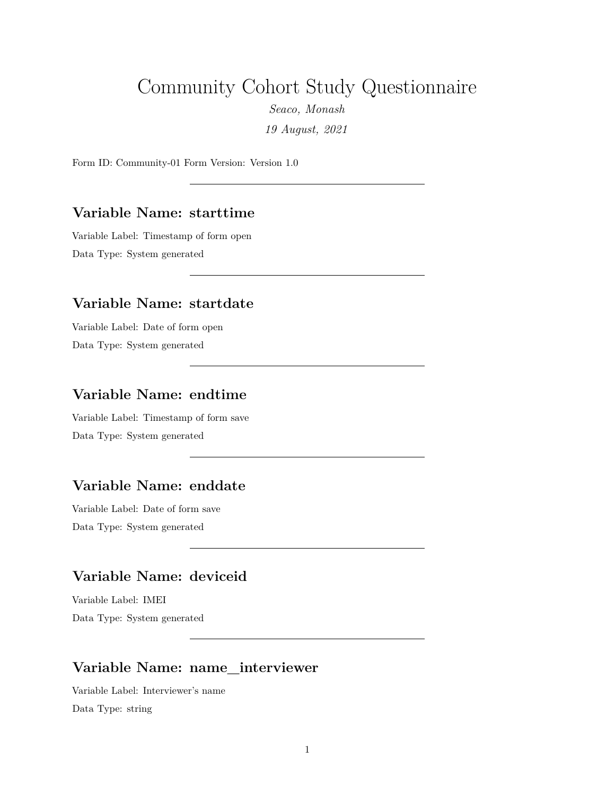# Community Cohort Study Questionnaire

*Seaco, Monash*

*19 August, 2021*

Form ID: Community-01 Form Version: Version 1.0

#### **Variable Name: starttime**

Variable Label: Timestamp of form open Data Type: System generated

#### **Variable Name: startdate**

Variable Label: Date of form open Data Type: System generated

#### **Variable Name: endtime**

Variable Label: Timestamp of form save Data Type: System generated

#### **Variable Name: enddate**

Variable Label: Date of form save Data Type: System generated

# **Variable Name: deviceid**

Variable Label: IMEI Data Type: System generated

#### **Variable Name: name\_interviewer**

Variable Label: Interviewer's name Data Type: string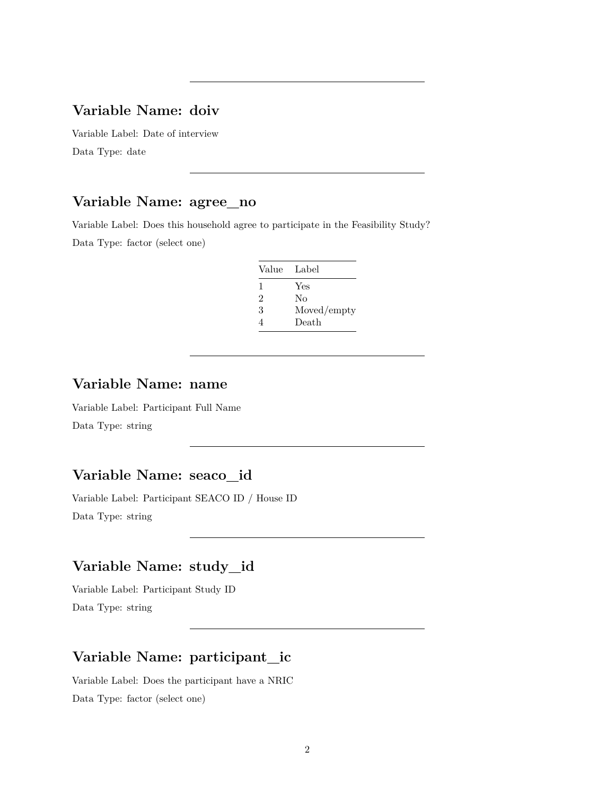#### **Variable Name: doiv**

Variable Label: Date of interview Data Type: date

# **Variable Name: agree\_no**

Variable Label: Does this household agree to participate in the Feasibility Study? Data Type: factor (select one)

| Value Label |             |
|-------------|-------------|
| 1           | Yes         |
| 2           | Nο          |
| 3           | Moved/empty |
| 4           | Death       |

#### **Variable Name: name**

Variable Label: Participant Full Name Data Type: string

#### **Variable Name: seaco\_id**

Variable Label: Participant SEACO ID / House ID Data Type: string

# **Variable Name: study\_id**

Variable Label: Participant Study ID Data Type: string

#### **Variable Name: participant\_ic**

Variable Label: Does the participant have a NRIC Data Type: factor (select one)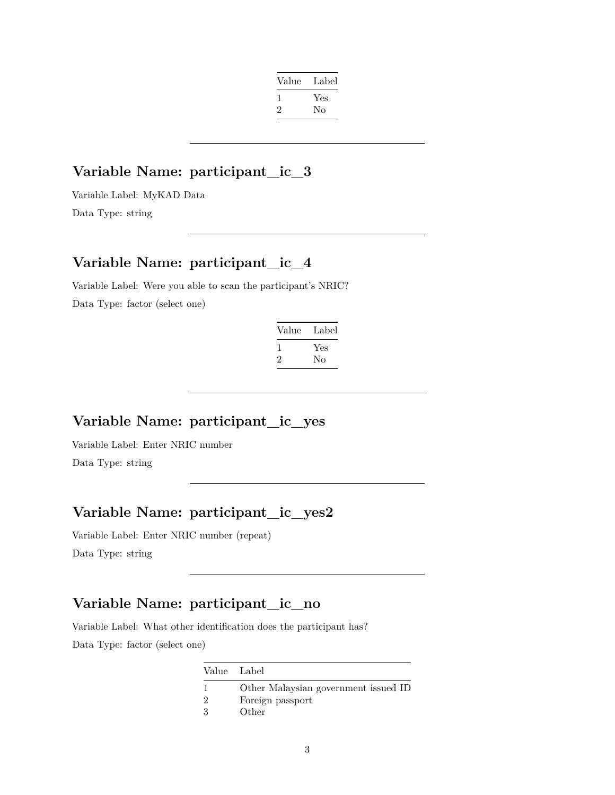| Value | Label |
|-------|-------|
| -1    | Yes   |
| '2    | No    |
|       |       |

#### **Variable Name: participant\_ic\_3**

Variable Label: MyKAD Data Data Type: string

# **Variable Name: participant\_ic\_4**

Variable Label: Were you able to scan the participant's NRIC? Data Type: factor (select one)

| Value | Label |
|-------|-------|
|       | Yes   |
| '2    | Nο    |

# **Variable Name: participant\_ic\_yes**

Variable Label: Enter NRIC number Data Type: string

# **Variable Name: participant\_ic\_yes2**

Variable Label: Enter NRIC number (repeat) Data Type: string

# **Variable Name: participant\_ic\_no**

Variable Label: What other identification does the participant has? Data Type: factor (select one)

| Value Label |                                      |
|-------------|--------------------------------------|
|             | Other Malaysian government issued ID |
|             | Foreign passport                     |
| -3          | Other                                |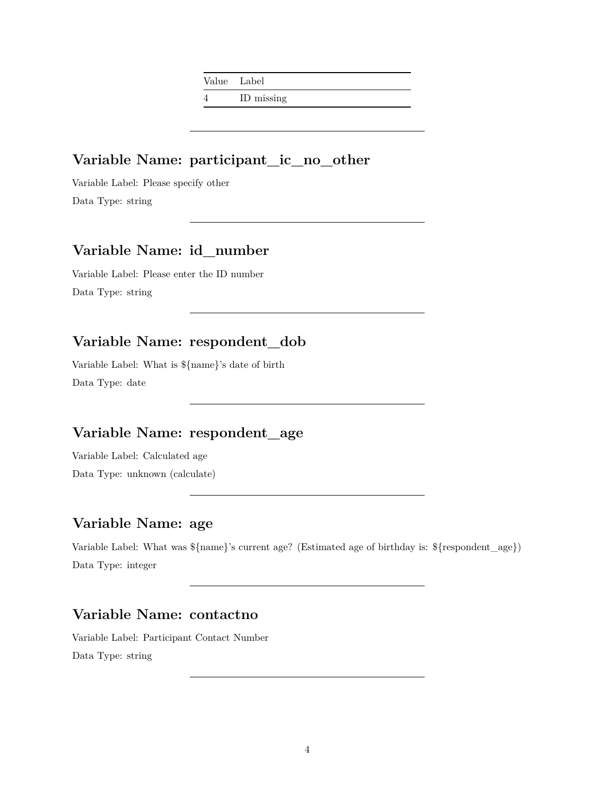Value Label

4 ID missing

# **Variable Name: participant\_ic\_no\_other**

Variable Label: Please specify other Data Type: string

# **Variable Name: id\_number**

Variable Label: Please enter the ID number Data Type: string

# **Variable Name: respondent\_dob**

Variable Label: What is \${name}'s date of birth Data Type: date

# **Variable Name: respondent\_age**

Variable Label: Calculated age Data Type: unknown (calculate)

# **Variable Name: age**

Variable Label: What was \${name}'s current age? (Estimated age of birthday is: \${respondent\_age}) Data Type: integer

# **Variable Name: contactno**

Variable Label: Participant Contact Number Data Type: string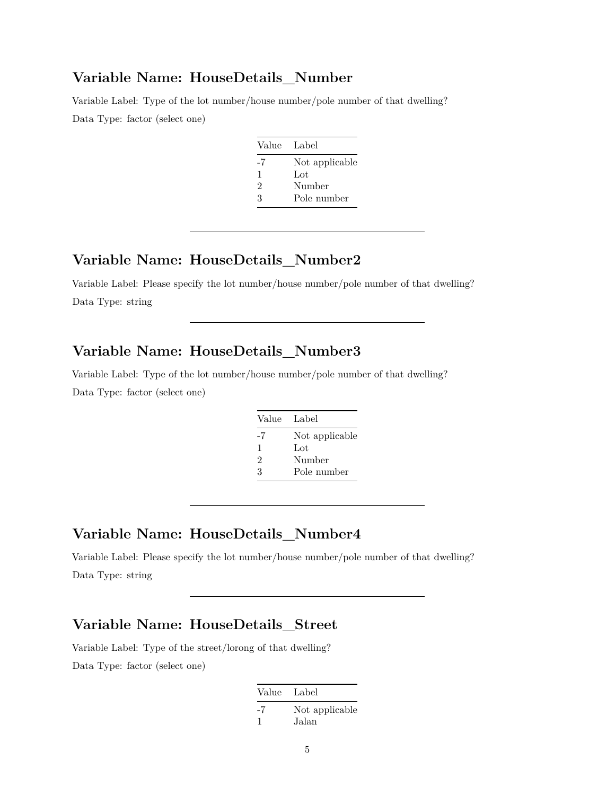#### **Variable Name: HouseDetails\_Number**

Variable Label: Type of the lot number/house number/pole number of that dwelling? Data Type: factor (select one)

| Value Label |                |
|-------------|----------------|
| -7          | Not applicable |
| 1           | $tot$          |
| 2           | Number         |
| З           | Pole number    |

# **Variable Name: HouseDetails\_Number2**

Variable Label: Please specify the lot number/house number/pole number of that dwelling? Data Type: string

# **Variable Name: HouseDetails\_Number3**

Variable Label: Type of the lot number/house number/pole number of that dwelling? Data Type: factor (select one)

| Value Label |                |
|-------------|----------------|
| -7          | Not applicable |
| 1           | Lot            |
| 2           | Number         |
| 3           | Pole number    |

#### **Variable Name: HouseDetails\_Number4**

Variable Label: Please specify the lot number/house number/pole number of that dwelling? Data Type: string

# **Variable Name: HouseDetails\_Street**

Variable Label: Type of the street/lorong of that dwelling?

| Value Label |                |
|-------------|----------------|
| -7          | Not applicable |
|             | Jalan          |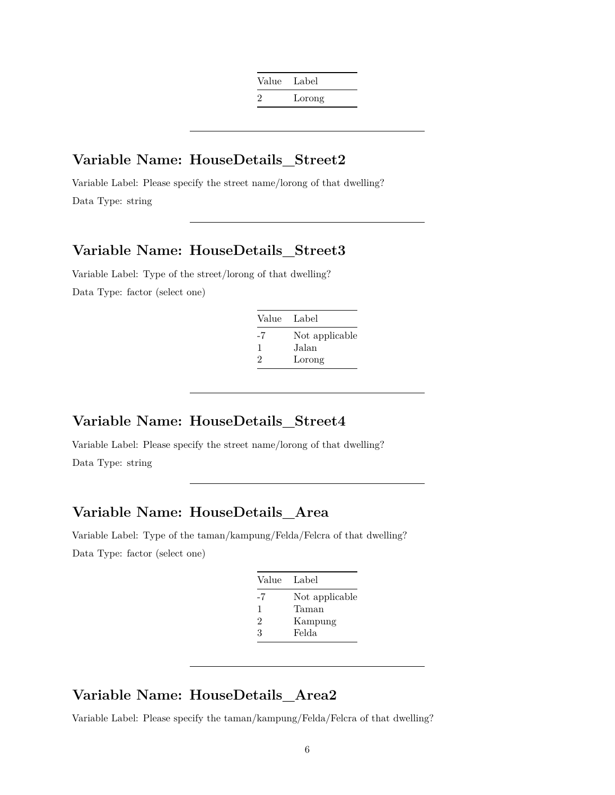| Value Label |        |
|-------------|--------|
| 2           | Lorong |

#### **Variable Name: HouseDetails\_Street2**

Variable Label: Please specify the street name/lorong of that dwelling? Data Type: string

# **Variable Name: HouseDetails\_Street3**

Variable Label: Type of the street/lorong of that dwelling? Data Type: factor (select one)

| Value | Label          |
|-------|----------------|
| -7    | Not applicable |
| 1     | Jalan          |
| 2     | Lorong         |

#### **Variable Name: HouseDetails\_Street4**

Variable Label: Please specify the street name/lorong of that dwelling? Data Type: string

#### **Variable Name: HouseDetails\_Area**

Variable Label: Type of the taman/kampung/Felda/Felcra of that dwelling? Data Type: factor (select one)

| Value | Label          |
|-------|----------------|
| -7    | Not applicable |
| 1     | Taman          |
| 2     | Kampung        |
| 3     | Felda          |

#### **Variable Name: HouseDetails\_Area2**

Variable Label: Please specify the taman/kampung/Felda/Felcra of that dwelling?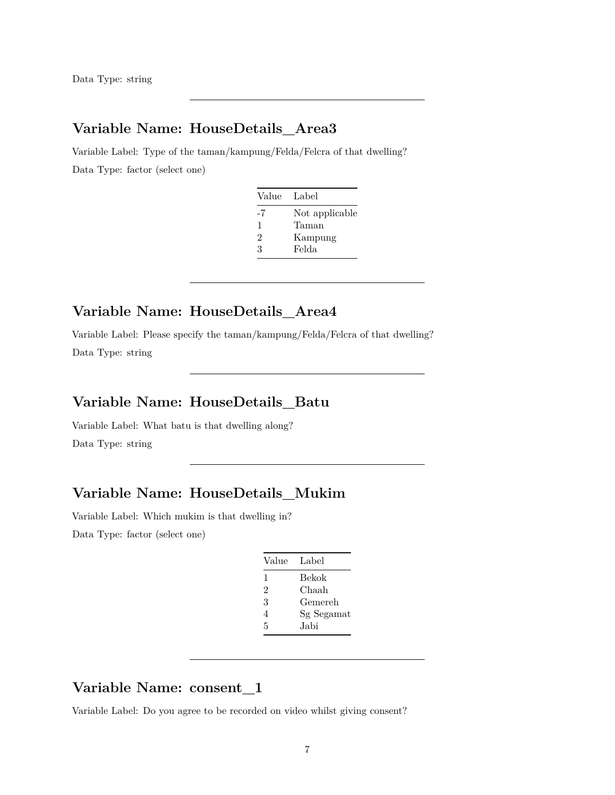Data Type: string

# **Variable Name: HouseDetails\_Area3**

Variable Label: Type of the taman/kampung/Felda/Felcra of that dwelling? Data Type: factor (select one)

| Value | Label          |
|-------|----------------|
| -7    | Not applicable |
| 1     | Taman          |
| 2     | Kampung        |
| 3     | Felda          |

## **Variable Name: HouseDetails\_Area4**

Variable Label: Please specify the taman/kampung/Felda/Felcra of that dwelling? Data Type: string

#### **Variable Name: HouseDetails\_Batu**

Variable Label: What batu is that dwelling along? Data Type: string

# **Variable Name: HouseDetails\_Mukim**

Variable Label: Which mukim is that dwelling in? Data Type: factor (select one)

| Value Label |            |
|-------------|------------|
| 1           | Bekok      |
| 2           | Chaah      |
| 3           | Gemereh    |
| 4           | Sg Segamat |
| 5           | Jabi       |
|             |            |

# **Variable Name: consent\_1**

Variable Label: Do you agree to be recorded on video whilst giving consent?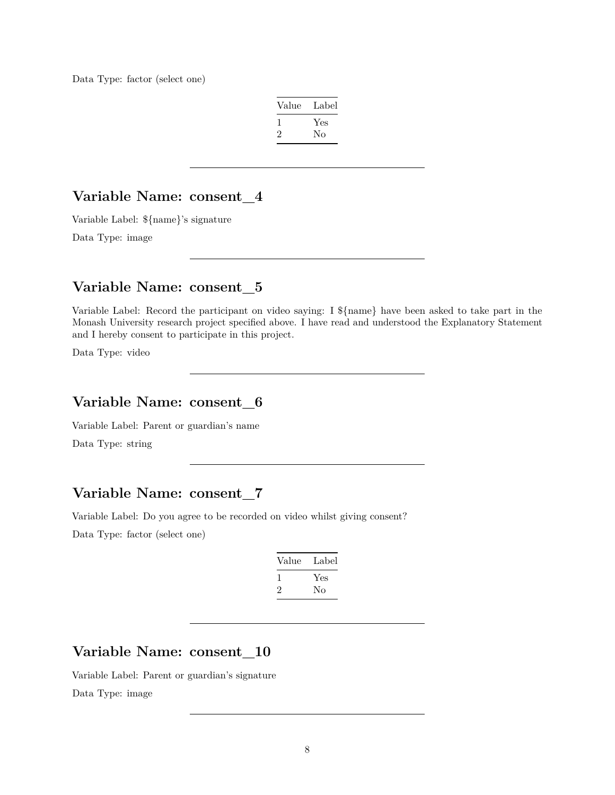Data Type: factor (select one)

| Value | Label |
|-------|-------|
|       | Yes   |
| '2    | No    |

#### **Variable Name: consent\_4**

Variable Label: \${name}'s signature

Data Type: image

#### **Variable Name: consent\_5**

Variable Label: Record the participant on video saying: I \${name} have been asked to take part in the Monash University research project specified above. I have read and understood the Explanatory Statement and I hereby consent to participate in this project.

Data Type: video

#### **Variable Name: consent\_6**

Variable Label: Parent or guardian's name

Data Type: string

# **Variable Name: consent\_7**

Variable Label: Do you agree to be recorded on video whilst giving consent?

Data Type: factor (select one)

| Value | Label |
|-------|-------|
|       | Yes   |
| '2    | Nο    |
|       |       |

# **Variable Name: consent\_10**

Variable Label: Parent or guardian's signature Data Type: image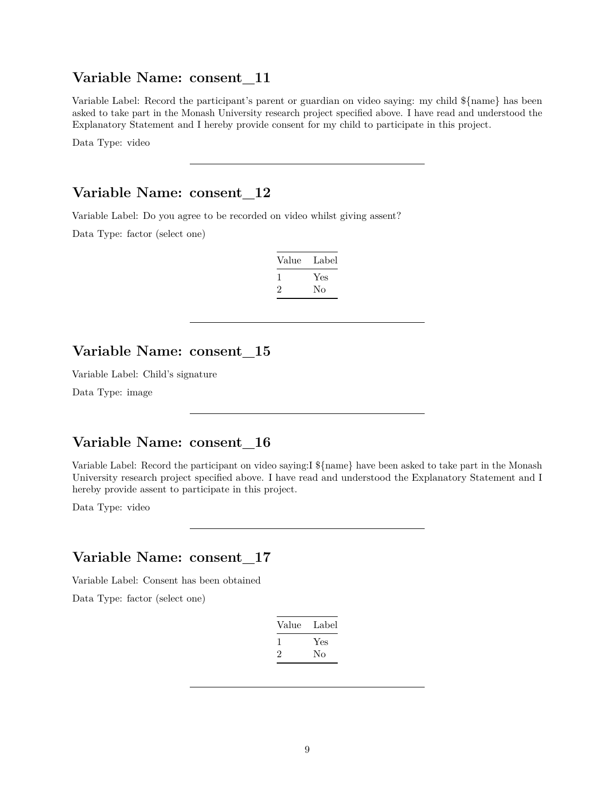#### **Variable Name: consent\_11**

Variable Label: Record the participant's parent or guardian on video saying: my child \${name} has been asked to take part in the Monash University research project specified above. I have read and understood the Explanatory Statement and I hereby provide consent for my child to participate in this project.

Data Type: video

#### **Variable Name: consent\_12**

Variable Label: Do you agree to be recorded on video whilst giving assent?

Data Type: factor (select one)

| Value | Label |
|-------|-------|
|       | Yes   |
| ۰,    | Nο    |

#### **Variable Name: consent\_15**

Variable Label: Child's signature

Data Type: image

#### **Variable Name: consent\_16**

Variable Label: Record the participant on video saying:I \${name} have been asked to take part in the Monash University research project specified above. I have read and understood the Explanatory Statement and I hereby provide assent to participate in this project.

Data Type: video

#### **Variable Name: consent\_17**

Variable Label: Consent has been obtained

| Value | Label |
|-------|-------|
|       | Yes   |
| ۰,    | Nο    |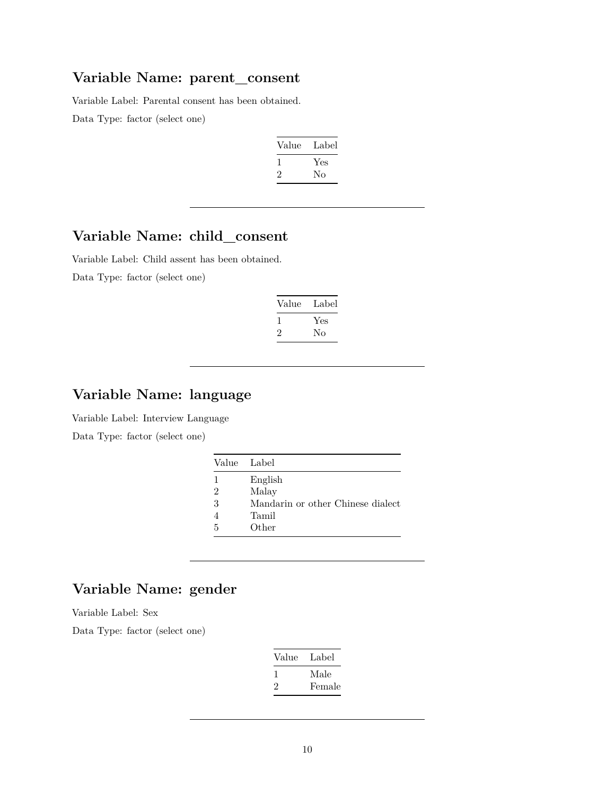#### **Variable Name: parent\_consent**

Variable Label: Parental consent has been obtained. Data Type: factor (select one)

| Label |
|-------|
| Yes   |
| Nο    |
|       |

# **Variable Name: child\_consent**

Variable Label: Child assent has been obtained. Data Type: factor (select one)

| Label     |
|-----------|
| Yes<br>Nο |
|           |

# **Variable Name: language**

Variable Label: Interview Language

Data Type: factor (select one)

| Value Label                       |
|-----------------------------------|
| English                           |
| Malay                             |
| Mandarin or other Chinese dialect |
| Tamil                             |
| Other                             |
|                                   |

# **Variable Name: gender**

Variable Label: Sex

| Value | Label  |
|-------|--------|
|       | Male   |
| ソ.    | Female |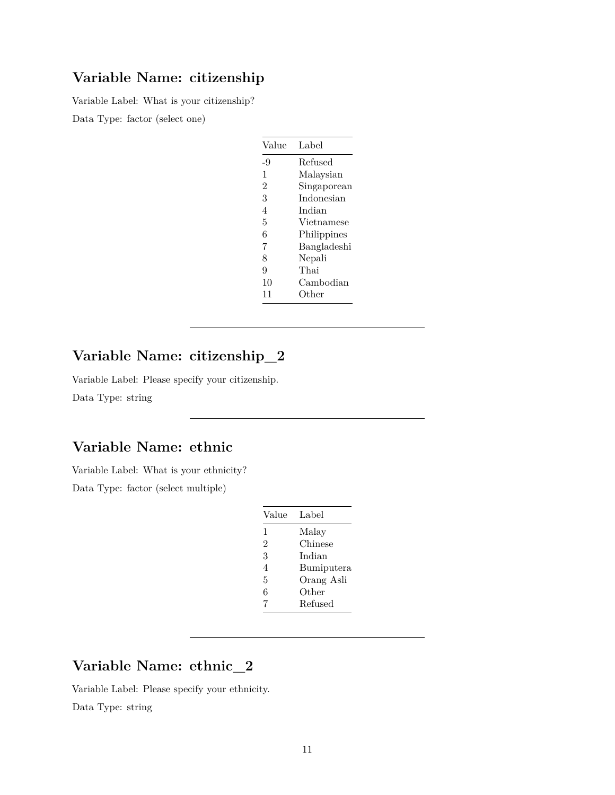# **Variable Name: citizenship**

Variable Label: What is your citizenship?

Data Type: factor (select one)

| Value         | Label       |
|---------------|-------------|
| -9            | Refused     |
| 1             | Malaysian   |
| $\mathcal{D}$ | Singaporean |
| 3             | Indonesian  |
| 4             | Indian      |
| 5             | Vietnamese  |
| 6             | Philippines |
| 7             | Bangladeshi |
| 8             | Nepali      |
| 9             | Thai        |
| 10            | Cambodian   |
| 11            | Other       |

# **Variable Name: citizenship\_2**

Variable Label: Please specify your citizenship.

Data Type: string

#### **Variable Name: ethnic**

Variable Label: What is your ethnicity?

Data Type: factor (select multiple)

| Value          | Label      |
|----------------|------------|
| 1              | Malay      |
| $\mathfrak{D}$ | Chinese    |
| 3              | Indian     |
| 4              | Bumiputera |
| 5              | Orang Asli |
| 6              | Other      |
| 7              | Refused    |

# **Variable Name: ethnic\_2**

Variable Label: Please specify your ethnicity.

Data Type: string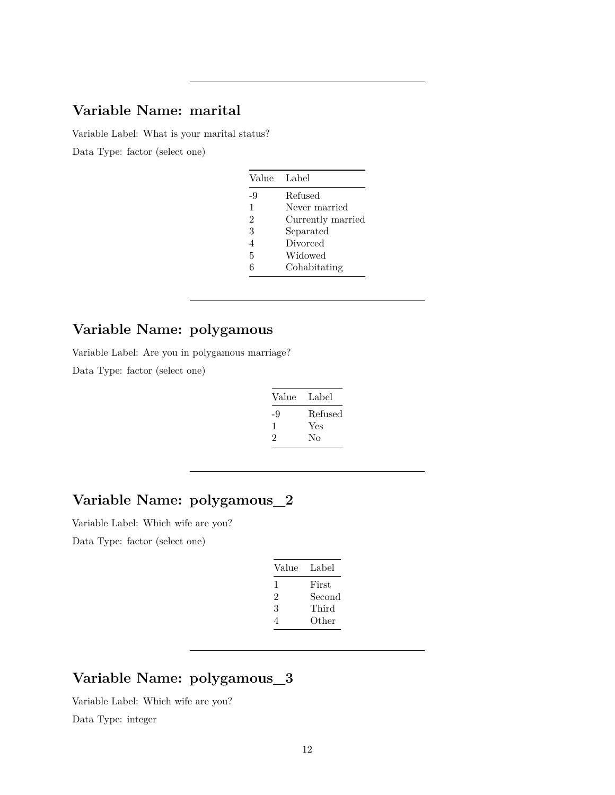#### **Variable Name: marital**

Variable Label: What is your marital status? Data Type: factor (select one)

| Value          | Label             |
|----------------|-------------------|
| $-9$           | Refused           |
| $\mathfrak{t}$ | Never married     |
| $\overline{2}$ | Currently married |
| 3              | Separated         |
| 4              | Divorced          |
| 5              | Widowed           |
| 6              | Cohabitating      |

# **Variable Name: polygamous**

Variable Label: Are you in polygamous marriage?

Data Type: factor (select one)

| Value | Label   |
|-------|---------|
| -9    | Refused |
| 1     | Yes     |
| 2     | Nο      |
|       |         |

# **Variable Name: polygamous\_2**

Variable Label: Which wife are you?

Data Type: factor (select one)

| Value | Label  |
|-------|--------|
| 1     | First  |
| 2     | Second |
| 3     | Third  |
| 4     | Other  |

# **Variable Name: polygamous\_3**

Variable Label: Which wife are you?

Data Type: integer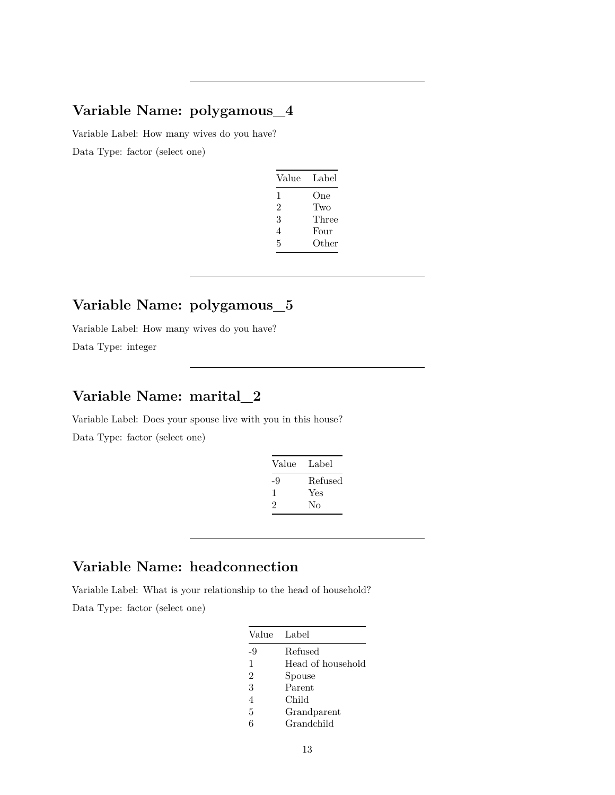# **Variable Name: polygamous\_4**

Variable Label: How many wives do you have? Data Type: factor (select one)

| Value | Label |
|-------|-------|
| 1     | One   |
| 2     | Two   |
| 3     | Three |
| 4     | Four  |
| 5     | Other |

# **Variable Name: polygamous\_5**

Variable Label: How many wives do you have? Data Type: integer

# **Variable Name: marital\_2**

Variable Label: Does your spouse live with you in this house? Data Type: factor (select one)

| Label   |
|---------|
| Refused |
| Yes     |
| Nο      |
|         |

# **Variable Name: headconnection**

Variable Label: What is your relationship to the head of household?

|    | Value Label       |
|----|-------------------|
| -9 | Refused           |
| 1  | Head of household |
| 2  | Spouse            |
| 3  | Parent            |
| 4  | Child             |
| 5  | Grandparent       |
| հ  | Grandchild        |
|    |                   |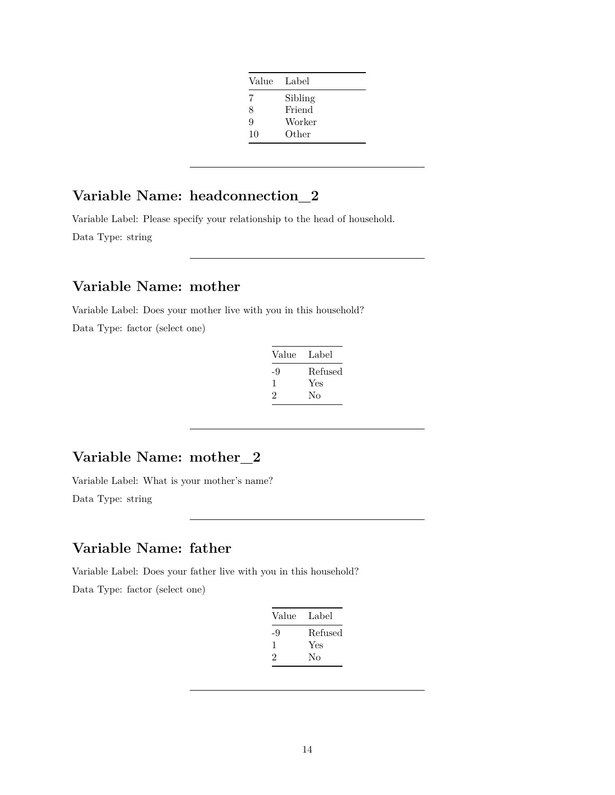| Value | Label   |
|-------|---------|
| 7     | Sibling |
| 8     | Friend  |
| 9     | Worker  |
| 10    | Other   |

# **Variable Name: headconnection\_2**

Variable Label: Please specify your relationship to the head of household. Data Type: string

# **Variable Name: mother**

Variable Label: Does your mother live with you in this household? Data Type: factor (select one)

| Label   |
|---------|
| Refused |
| Yes     |
| Nο      |
|         |

# **Variable Name: mother\_2**

Variable Label: What is your mother's name?

Data Type: string

# **Variable Name: father**

Variable Label: Does your father live with you in this household?

| Value | Label   |
|-------|---------|
| -9    | Refused |
| ı     | Yes     |
| 2     | Nο      |
|       |         |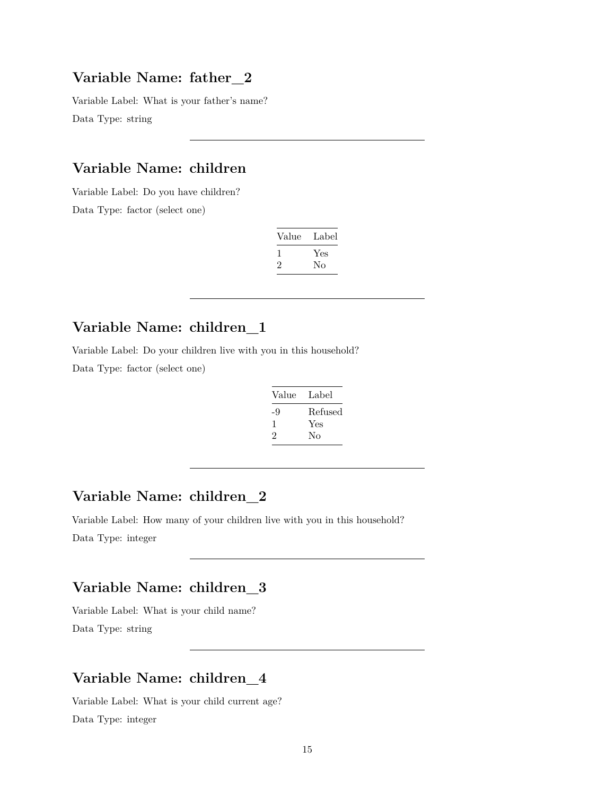#### **Variable Name: father\_2**

Variable Label: What is your father's name? Data Type: string

#### **Variable Name: children**

Variable Label: Do you have children?

Data Type: factor (select one)

| Value | Label |
|-------|-------|
| L     | Yes   |
| ۰,    | Nο    |

# **Variable Name: children\_1**

Variable Label: Do your children live with you in this household?

Data Type: factor (select one)

| Label   |
|---------|
| Refused |
| Yes     |
| No      |
|         |

# **Variable Name: children\_2**

Variable Label: How many of your children live with you in this household?

Data Type: integer

# **Variable Name: children\_3**

Variable Label: What is your child name? Data Type: string

# **Variable Name: children\_4**

Variable Label: What is your child current age? Data Type: integer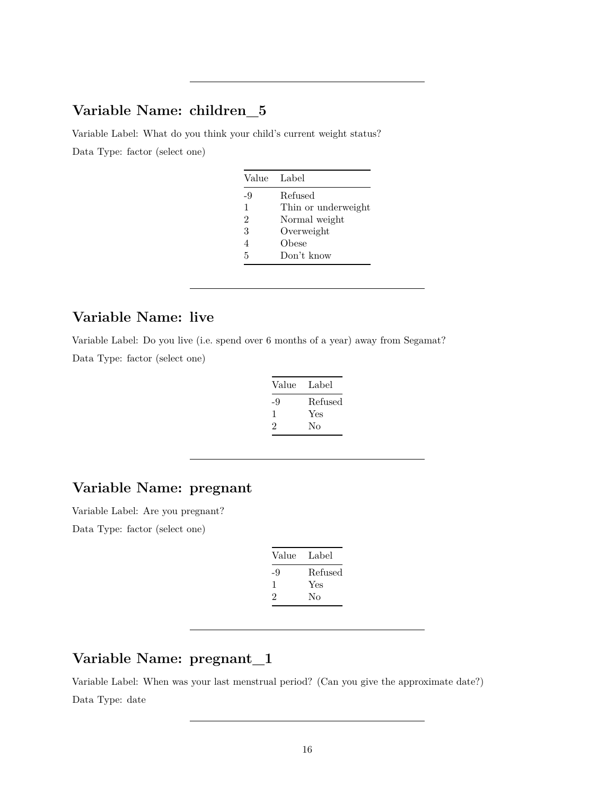# **Variable Name: children\_5**

Variable Label: What do you think your child's current weight status? Data Type: factor (select one)

| Value Label    |                     |
|----------------|---------------------|
| -9             | Refused             |
| 1              | Thin or underweight |
| $\mathfrak{D}$ | Normal weight       |
| 3              | Overweight          |
| 4              | Obese               |
| 5              | Don't know          |

# **Variable Name: live**

Variable Label: Do you live (i.e. spend over 6 months of a year) away from Segamat? Data Type: factor (select one)

| Label   |
|---------|
| Refused |
| Yes     |
| Nο      |
|         |

# **Variable Name: pregnant**

Variable Label: Are you pregnant? Data Type: factor (select one)

| Value | Label   |
|-------|---------|
| -9    | Refused |
| ı     | Yes     |
| 2     | Nο      |
|       |         |

# **Variable Name: pregnant\_1**

Variable Label: When was your last menstrual period? (Can you give the approximate date?) Data Type: date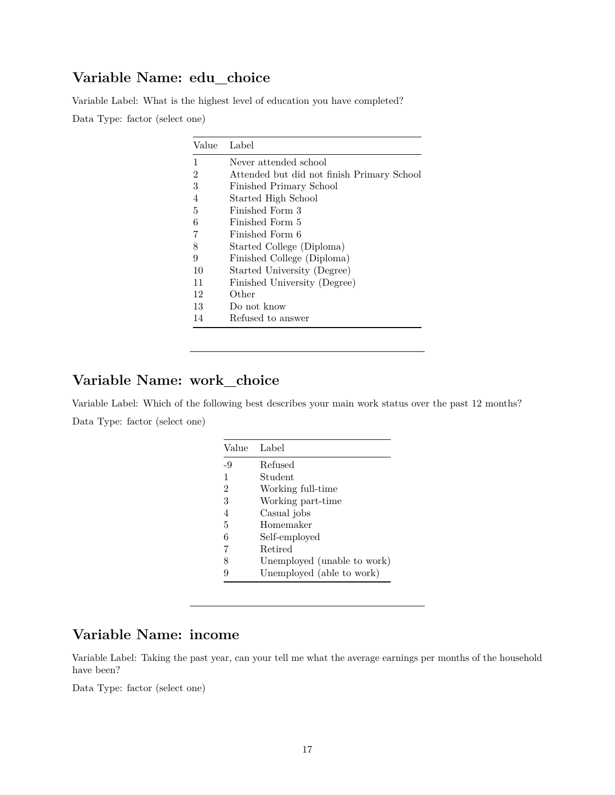# **Variable Name: edu\_choice**

Variable Label: What is the highest level of education you have completed? Data Type: factor (select one)

| Value | Label                                      |
|-------|--------------------------------------------|
| 1     | Never attended school                      |
| 2     | Attended but did not finish Primary School |
| 3     | Finished Primary School                    |
| 4     | Started High School                        |
| 5     | Finished Form 3                            |
| 6     | Finished Form 5                            |
| 7     | Finished Form 6                            |
| 8     | Started College (Diploma)                  |
| 9     | Finished College (Diploma)                 |
| 10    | Started University (Degree)                |
| 11    | Finished University (Degree)               |
| 12    | Other                                      |
| 13    | Do not know                                |
| 14    | Refused to answer                          |

# **Variable Name: work\_choice**

Variable Label: Which of the following best describes your main work status over the past 12 months? Data Type: factor (select one)

| Value | Label                       |
|-------|-----------------------------|
| -9    | Refused                     |
| 1     | Student                     |
| 2     | Working full-time           |
| 3     | Working part-time           |
| 4     | Casual jobs                 |
| 5     | Homemaker                   |
| 6     | Self-employed               |
| 7     | Retired                     |
| 8     | Unemployed (unable to work) |
| 9     | Unemployed (able to work)   |

#### **Variable Name: income**

Variable Label: Taking the past year, can your tell me what the average earnings per months of the household have been?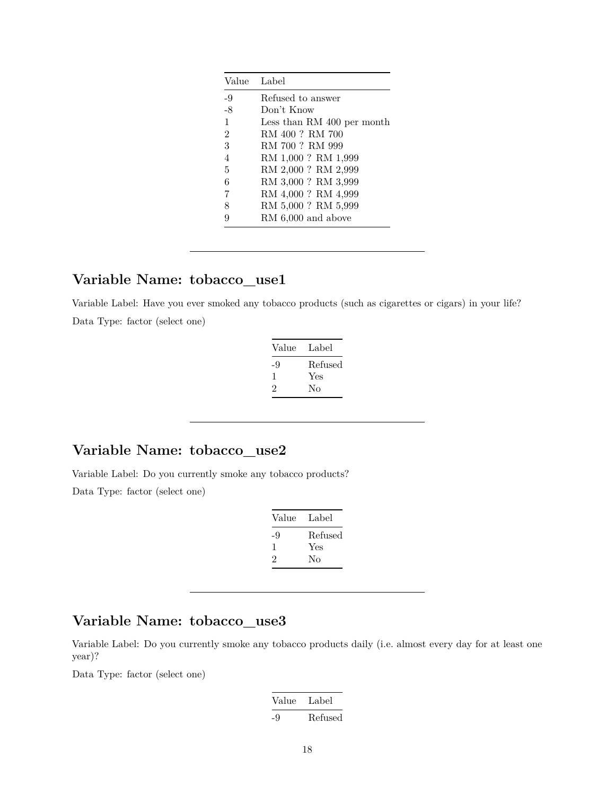|                | Value Label                |
|----------------|----------------------------|
| $-9$           | Refused to answer          |
| $-8$           | Don't Know                 |
| $\mathbf{1}$   | Less than RM 400 per month |
| $\overline{2}$ | RM 400 ? RM 700            |
| 3              | RM 700 ? RM 999            |
| $\overline{4}$ | RM 1,000 ? RM 1,999        |
| 5              | RM 2,000 ? RM 2,999        |
| 6              | RM 3,000 ? RM 3,999        |
| 7              | RM 4,000? RM 4,999         |
| 8              | RM 5,000 ? RM 5,999        |
|                | $RM\,6,000$ and above      |

## **Variable Name: tobacco\_use1**

Variable Label: Have you ever smoked any tobacco products (such as cigarettes or cigars) in your life? Data Type: factor (select one)

| Value | Label   |
|-------|---------|
| -9    | Refused |
| 1     | Yes     |
| 2     | No      |
|       |         |

#### **Variable Name: tobacco\_use2**

Variable Label: Do you currently smoke any tobacco products?

Data Type: factor (select one)

| Value | Label   |
|-------|---------|
| -9    | Refused |
| ı     | Yes     |
| 2     | Nο      |

# **Variable Name: tobacco\_use3**

Variable Label: Do you currently smoke any tobacco products daily (i.e. almost every day for at least one year)?

| Value | Label   |
|-------|---------|
| -9    | Refused |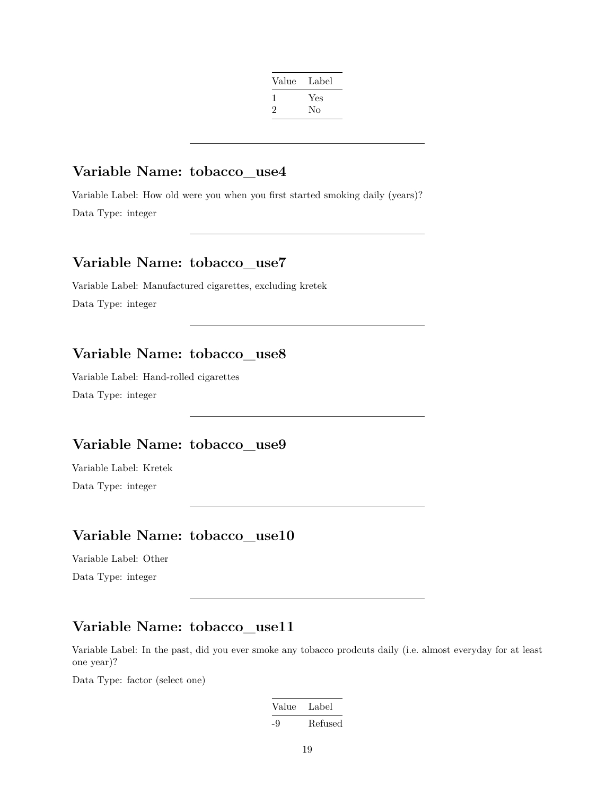| Label |
|-------|
| Yes   |
| No    |
|       |

#### **Variable Name: tobacco\_use4**

Variable Label: How old were you when you first started smoking daily (years)? Data Type: integer

## **Variable Name: tobacco\_use7**

Variable Label: Manufactured cigarettes, excluding kretek Data Type: integer

### **Variable Name: tobacco\_use8**

Variable Label: Hand-rolled cigarettes Data Type: integer

#### **Variable Name: tobacco\_use9**

Variable Label: Kretek Data Type: integer

#### **Variable Name: tobacco\_use10**

Variable Label: Other Data Type: integer

#### **Variable Name: tobacco\_use11**

Variable Label: In the past, did you ever smoke any tobacco prodcuts daily (i.e. almost everyday for at least one year)?

| Value | Label   |
|-------|---------|
| -9    | Refused |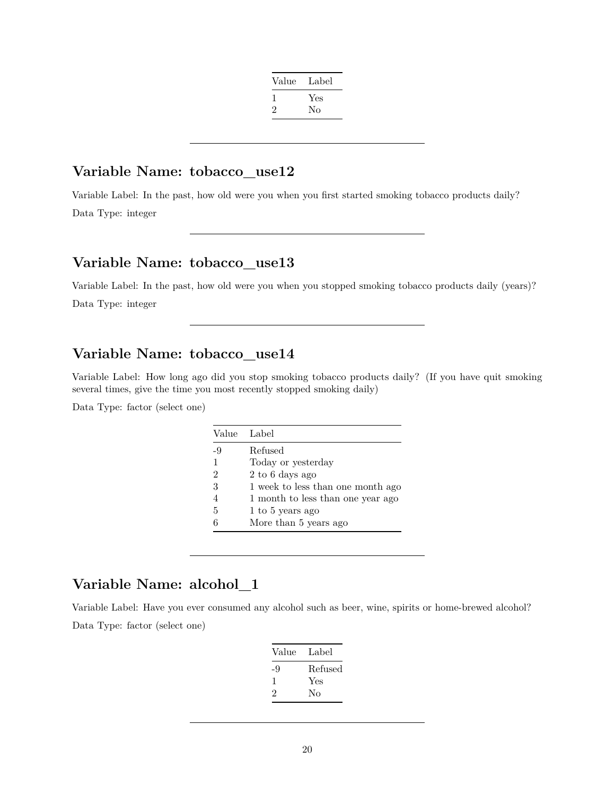| Value   | Label |
|---------|-------|
| л.      | Yes   |
| $\cdot$ | No    |
|         |       |

#### **Variable Name: tobacco\_use12**

Variable Label: In the past, how old were you when you first started smoking tobacco products daily? Data Type: integer

# **Variable Name: tobacco\_use13**

Variable Label: In the past, how old were you when you stopped smoking tobacco products daily (years)? Data Type: integer

### **Variable Name: tobacco\_use14**

Variable Label: How long ago did you stop smoking tobacco products daily? (If you have quit smoking several times, give the time you most recently stopped smoking daily)

Data Type: factor (select one)

| Value | Label                             |
|-------|-----------------------------------|
| -9    | Refused                           |
| 1     | Today or yesterday                |
| 2     | 2 to 6 days ago                   |
| 3     | 1 week to less than one month ago |
|       | 1 month to less than one year ago |
| 5     | 1 to 5 years ago                  |
| հ     | More than 5 years ago             |

# **Variable Name: alcohol\_1**

Variable Label: Have you ever consumed any alcohol such as beer, wine, spirits or home-brewed alcohol? Data Type: factor (select one)

| Label   |
|---------|
| Refused |
| Yes     |
| No      |
|         |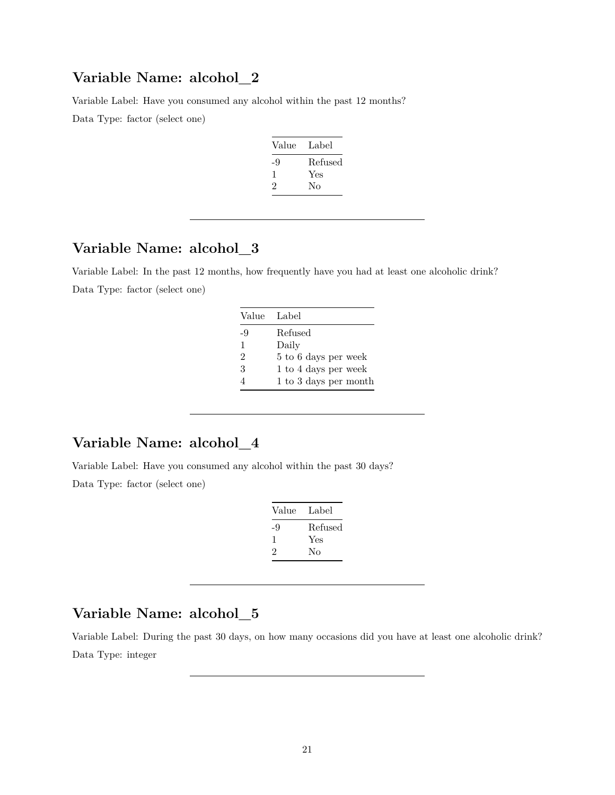#### **Variable Name: alcohol\_2**

Variable Label: Have you consumed any alcohol within the past 12 months?

Data Type: factor (select one)

| Value | Label   |
|-------|---------|
| -9    | Refused |
| ı     | Yes     |
| 2     | Nο      |

# **Variable Name: alcohol\_3**

Variable Label: In the past 12 months, how frequently have you had at least one alcoholic drink? Data Type: factor (select one)

| Value Label    |                       |
|----------------|-----------------------|
| -9             | Refused               |
| $\mathbf{1}$   | Daily                 |
| $\overline{2}$ | 5 to 6 days per week  |
| 3              | 1 to 4 days per week  |
|                | 1 to 3 days per month |

# **Variable Name: alcohol\_4**

Variable Label: Have you consumed any alcohol within the past 30 days? Data Type: factor (select one)

| Label   |
|---------|
| Refused |
| Yes     |
| Nο      |
|         |

# **Variable Name: alcohol\_5**

Variable Label: During the past 30 days, on how many occasions did you have at least one alcoholic drink? Data Type: integer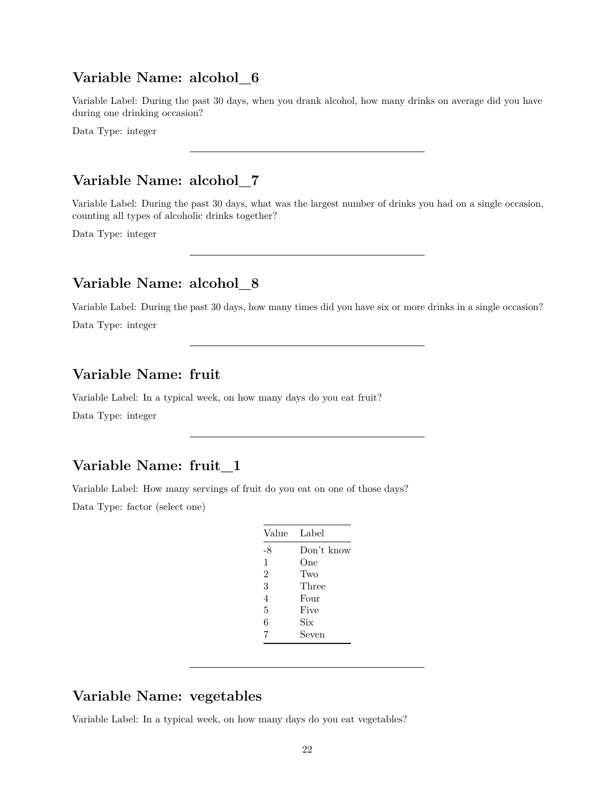#### **Variable Name: alcohol\_6**

Variable Label: During the past 30 days, when you drank alcohol, how many drinks on average did you have during one drinking occasion?

Data Type: integer

#### **Variable Name: alcohol\_7**

Variable Label: During the past 30 days, what was the largest number of drinks you had on a single occasion, counting all types of alcoholic drinks together?

Data Type: integer

# **Variable Name: alcohol\_8**

Variable Label: During the past 30 days, how many times did you have six or more drinks in a single occasion? Data Type: integer

#### **Variable Name: fruit**

Variable Label: In a typical week, on how many days do you eat fruit? Data Type: integer

#### **Variable Name: fruit\_1**

Variable Label: How many servings of fruit do you eat on one of those days?

Data Type: factor (select one)

| Value          | Label      |
|----------------|------------|
| -8             | Don't know |
| 1              | One        |
| $\overline{2}$ | Two        |
| 3              | Three      |
| 4              | Four       |
| 5              | Five       |
| 6              | Six        |
| 7              | Seven      |

## **Variable Name: vegetables**

Variable Label: In a typical week, on how many days do you eat vegetables?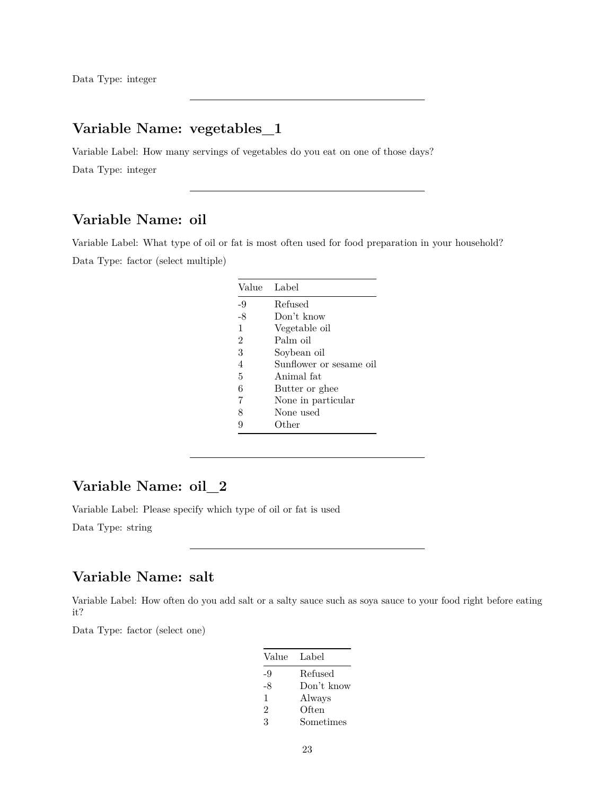# **Variable Name: vegetables\_1**

Variable Label: How many servings of vegetables do you eat on one of those days? Data Type: integer

# **Variable Name: oil**

Variable Label: What type of oil or fat is most often used for food preparation in your household? Data Type: factor (select multiple)

|                | Value Label             |
|----------------|-------------------------|
| -9             | Refused                 |
| -8             | Don't know              |
| $\mathbf{1}$   | Vegetable oil           |
| $\overline{2}$ | Palm oil                |
| 3              | Soybean oil             |
| 4              | Sunflower or sesame oil |
| 5              | Animal fat              |
| 6              | Butter or ghee          |
| 7              | None in particular      |
| 8              | None used               |
| 9              | Other                   |
|                |                         |

#### **Variable Name: oil\_2**

Variable Label: Please specify which type of oil or fat is used

Data Type: string

# **Variable Name: salt**

Variable Label: How often do you add salt or a salty sauce such as soya sauce to your food right before eating it?

| Value Label                 |            |
|-----------------------------|------------|
| -9                          | Refused    |
| -8                          | Don't know |
| 1                           | Always     |
| $\mathcal{D}_{\mathcal{L}}$ | Often      |
| 3                           | Sometimes  |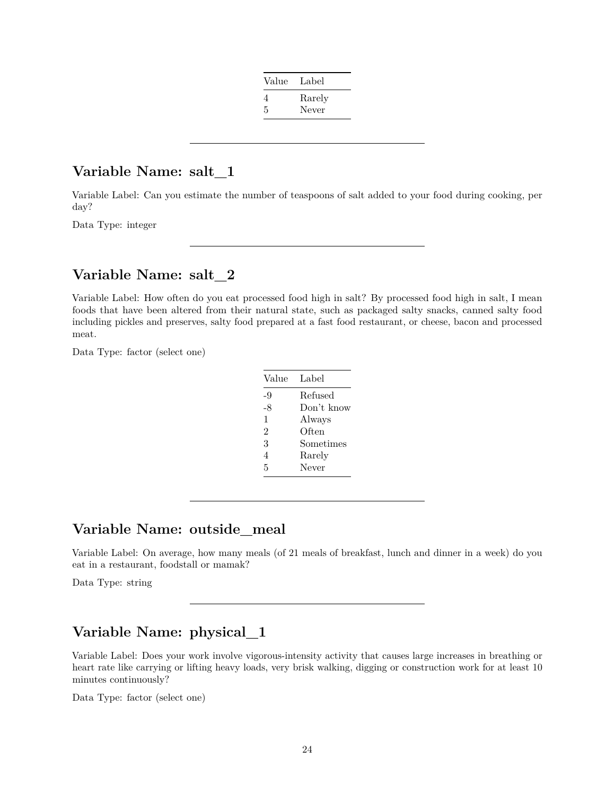| Value | Label  |
|-------|--------|
| 4     | Rarely |
| 5     | Never  |

#### **Variable Name: salt\_1**

Variable Label: Can you estimate the number of teaspoons of salt added to your food during cooking, per day?

Data Type: integer

#### **Variable Name: salt\_2**

Variable Label: How often do you eat processed food high in salt? By processed food high in salt, I mean foods that have been altered from their natural state, such as packaged salty snacks, canned salty food including pickles and preserves, salty food prepared at a fast food restaurant, or cheese, bacon and processed meat.

Data Type: factor (select one)

| Value          | Label      |
|----------------|------------|
| -9             | Refused    |
| -8             | Don't know |
| 1              | Always     |
| $\mathfrak{D}$ | Often      |
| 3              | Sometimes  |
| 4              | Rarely     |
| 5              | Never      |
|                |            |

#### **Variable Name: outside\_meal**

Variable Label: On average, how many meals (of 21 meals of breakfast, lunch and dinner in a week) do you eat in a restaurant, foodstall or mamak?

Data Type: string

# **Variable Name: physical\_1**

Variable Label: Does your work involve vigorous-intensity activity that causes large increases in breathing or heart rate like carrying or lifting heavy loads, very brisk walking, digging or construction work for at least 10 minutes continuously?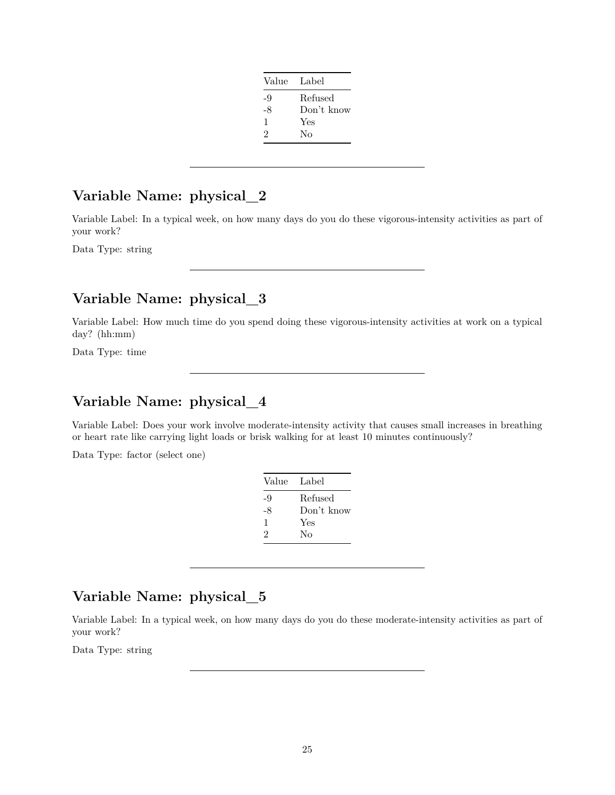| Value | Label      |
|-------|------------|
| -9    | Refused    |
| -8    | Don't know |
| 1     | Yes        |
| 2     | Nο         |
|       |            |

Variable Label: In a typical week, on how many days do you do these vigorous-intensity activities as part of your work?

Data Type: string

# **Variable Name: physical\_3**

Variable Label: How much time do you spend doing these vigorous-intensity activities at work on a typical day? (hh:mm)

Data Type: time

# **Variable Name: physical\_4**

Variable Label: Does your work involve moderate-intensity activity that causes small increases in breathing or heart rate like carrying light loads or brisk walking for at least 10 minutes continuously?

Data Type: factor (select one)

| Value Label |            |
|-------------|------------|
| -9          | Refused    |
| -8          | Don't know |
| 1           | Yes        |
| 2           | Nο         |
|             |            |

# **Variable Name: physical\_5**

Variable Label: In a typical week, on how many days do you do these moderate-intensity activities as part of your work?

Data Type: string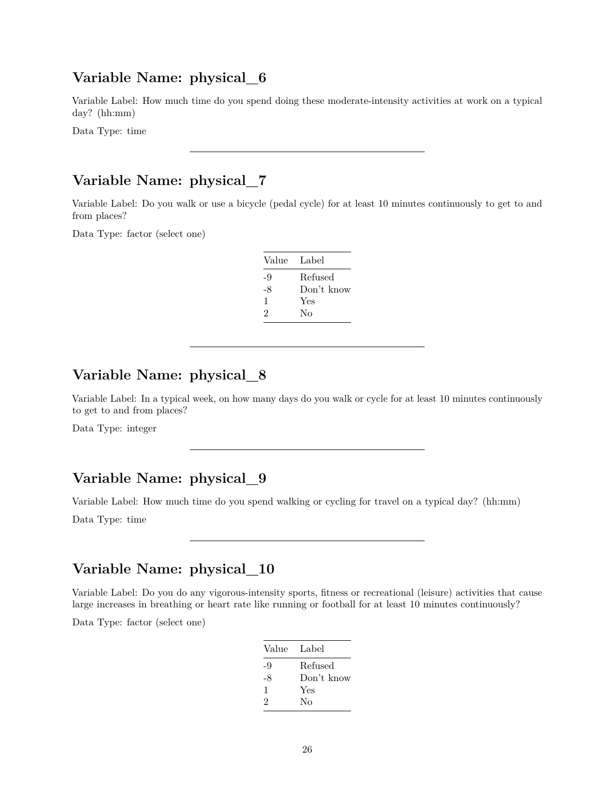Variable Label: How much time do you spend doing these moderate-intensity activities at work on a typical day? (hh:mm)

Data Type: time

# **Variable Name: physical\_7**

Variable Label: Do you walk or use a bicycle (pedal cycle) for at least 10 minutes continuously to get to and from places?

Data Type: factor (select one)

| Value Label |            |
|-------------|------------|
| -9          | Refused    |
| -8          | Don't know |
| 1           | Yes        |
| 2           | Nο         |

# **Variable Name: physical\_8**

Variable Label: In a typical week, on how many days do you walk or cycle for at least 10 minutes continuously to get to and from places?

Data Type: integer

# **Variable Name: physical\_9**

Variable Label: How much time do you spend walking or cycling for travel on a typical day? (hh:mm)

Data Type: time

# **Variable Name: physical\_10**

Variable Label: Do you do any vigorous-intensity sports, fitness or recreational (leisure) activities that cause large increases in breathing or heart rate like running or football for at least 10 minutes continuously?

| Value | Label      |
|-------|------------|
| -9    | Refused    |
| -8    | Don't know |
| 1     | Yes        |
| 2     | Nο         |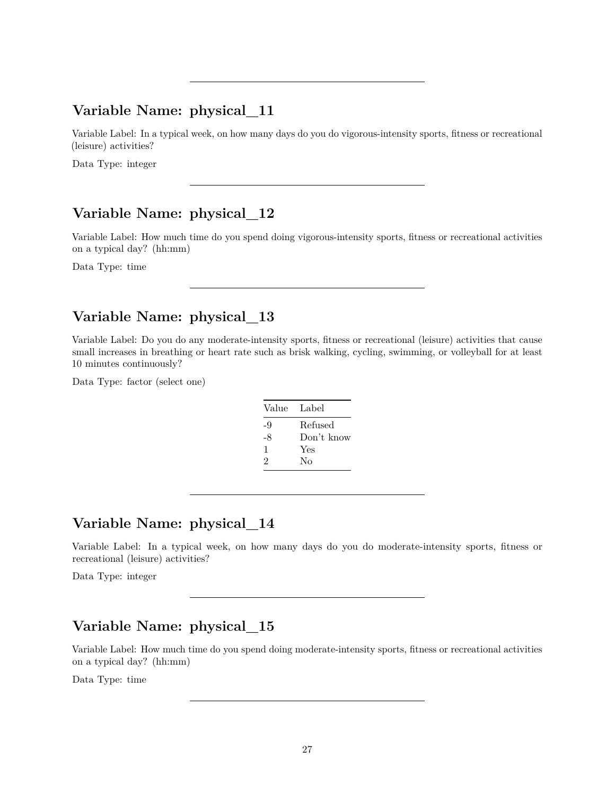Variable Label: In a typical week, on how many days do you do vigorous-intensity sports, fitness or recreational (leisure) activities?

Data Type: integer

#### **Variable Name: physical\_12**

Variable Label: How much time do you spend doing vigorous-intensity sports, fitness or recreational activities on a typical day? (hh:mm)

Data Type: time

# **Variable Name: physical\_13**

Variable Label: Do you do any moderate-intensity sports, fitness or recreational (leisure) activities that cause small increases in breathing or heart rate such as brisk walking, cycling, swimming, or volleyball for at least 10 minutes continuously?

Data Type: factor (select one)

| Value Label |            |
|-------------|------------|
| -9          | Refused    |
| -8          | Don't know |
| 1           | Yes        |
| 2           | No         |

# **Variable Name: physical\_14**

Variable Label: In a typical week, on how many days do you do moderate-intensity sports, fitness or recreational (leisure) activities?

Data Type: integer

# **Variable Name: physical\_15**

Variable Label: How much time do you spend doing moderate-intensity sports, fitness or recreational activities on a typical day? (hh:mm)

Data Type: time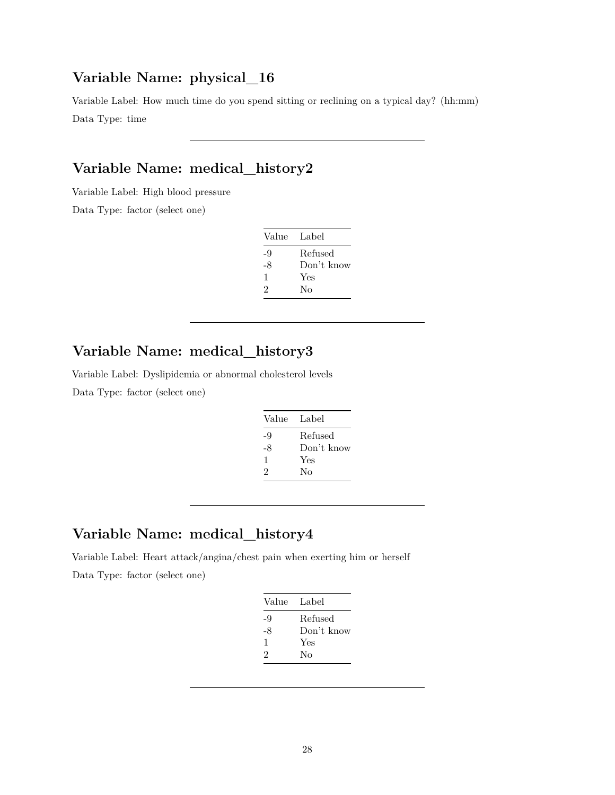Variable Label: How much time do you spend sitting or reclining on a typical day? (hh:mm) Data Type: time

# **Variable Name: medical\_history2**

Variable Label: High blood pressure

Data Type: factor (select one)

| Value Label |            |
|-------------|------------|
| -9          | Refused    |
| -8          | Don't know |
| 1           | Yes        |
| 2           | No         |

# **Variable Name: medical\_history3**

Variable Label: Dyslipidemia or abnormal cholesterol levels

Data Type: factor (select one)

| Value Label |            |
|-------------|------------|
| -9          | Refused    |
| -8          | Don't know |
| 1           | Yes        |
| 2           | No         |

#### **Variable Name: medical\_history4**

Variable Label: Heart attack/angina/chest pain when exerting him or herself Data Type: factor (select one)

| Value Label |            |
|-------------|------------|
| -9          | Refused    |
| -8          | Don't know |
| 1           | Yes        |
| 2           | Nο         |
|             |            |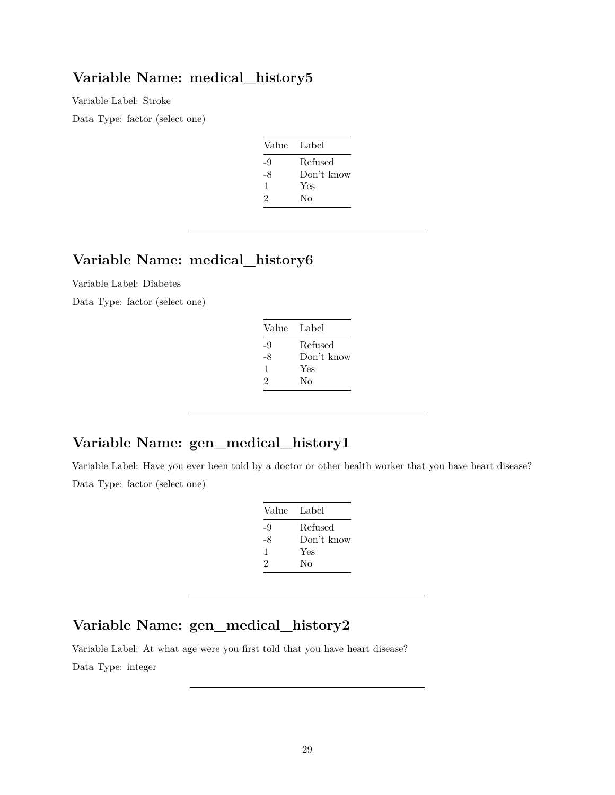#### **Variable Name: medical\_history5**

Variable Label: Stroke

Data Type: factor (select one)

| Value | Label      |
|-------|------------|
| -9    | Refused    |
| -8    | Don't know |
| 1     | Yes        |
| 2     | No         |
|       |            |

# **Variable Name: medical\_history6**

Variable Label: Diabetes

Data Type: factor (select one)

| Label      |
|------------|
| Refused    |
| Don't know |
| Yes        |
| Nο         |
|            |

# **Variable Name: gen\_medical\_history1**

Variable Label: Have you ever been told by a doctor or other health worker that you have heart disease? Data Type: factor (select one)

| Value | Label      |
|-------|------------|
| -9    | Refused    |
| -8    | Don't know |
| 1     | Yes        |
| 2     | No         |

# **Variable Name: gen\_medical\_history2**

Variable Label: At what age were you first told that you have heart disease?

Data Type: integer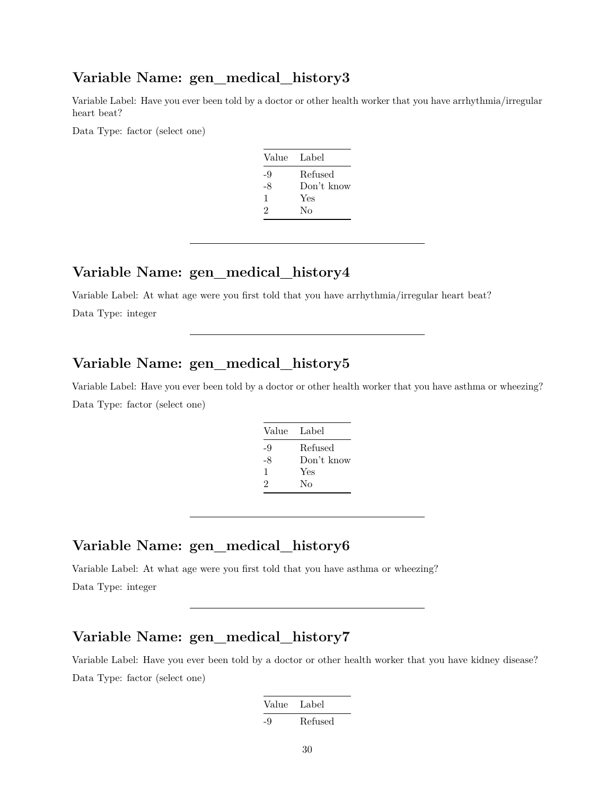#### **Variable Name: gen\_medical\_history3**

Variable Label: Have you ever been told by a doctor or other health worker that you have arrhythmia/irregular heart beat?

Data Type: factor (select one)

| Value | Label      |
|-------|------------|
| -9    | Refused    |
| -8    | Don't know |
| 1     | Yes        |
| 2     | Nο         |

# **Variable Name: gen\_medical\_history4**

Variable Label: At what age were you first told that you have arrhythmia/irregular heart beat? Data Type: integer

#### **Variable Name: gen\_medical\_history5**

Variable Label: Have you ever been told by a doctor or other health worker that you have asthma or wheezing? Data Type: factor (select one)

| Value | Label      |
|-------|------------|
| -9    | Refused    |
| -8    | Don't know |
| 1     | Yes        |
| 2     | Nο         |

# **Variable Name: gen\_medical\_history6**

Variable Label: At what age were you first told that you have asthma or wheezing? Data Type: integer

# **Variable Name: gen\_medical\_history7**

Variable Label: Have you ever been told by a doctor or other health worker that you have kidney disease? Data Type: factor (select one)

| Value | Label   |
|-------|---------|
| -9    | Refused |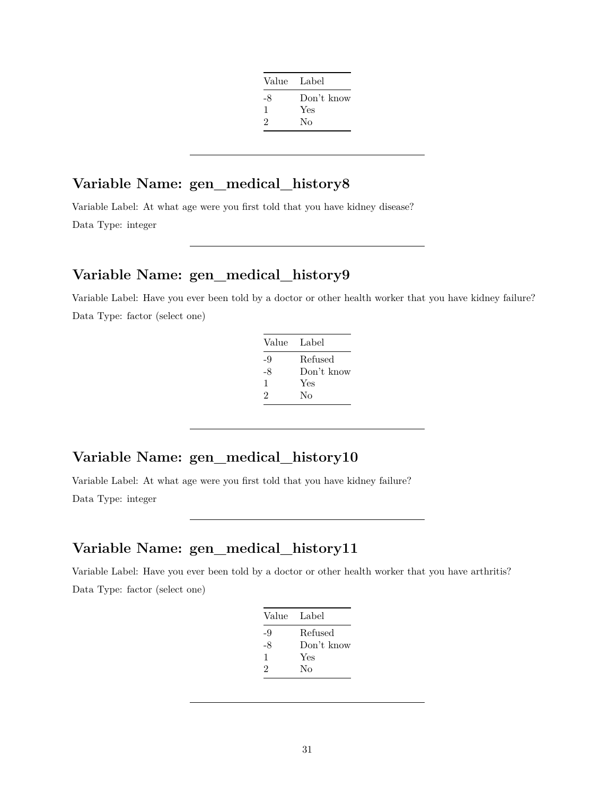| Value Label |            |
|-------------|------------|
| -8          | Don't know |
| 1           | Yes        |
| 2           | Nο         |
|             |            |

# **Variable Name: gen\_medical\_history8**

Variable Label: At what age were you first told that you have kidney disease? Data Type: integer

#### **Variable Name: gen\_medical\_history9**

Variable Label: Have you ever been told by a doctor or other health worker that you have kidney failure? Data Type: factor (select one)

| Value | Label      |
|-------|------------|
| -9    | Refused    |
| -8    | Don't know |
| 1     | Yes        |
| 2     | Nο         |
|       |            |

# **Variable Name: gen\_medical\_history10**

Variable Label: At what age were you first told that you have kidney failure?

Data Type: integer

# **Variable Name: gen\_medical\_history11**

Variable Label: Have you ever been told by a doctor or other health worker that you have arthritis? Data Type: factor (select one)

| Value | Label      |
|-------|------------|
| -9    | Refused    |
| -8    | Don't know |
| 1     | Yes        |
| 2     | Nο         |
|       |            |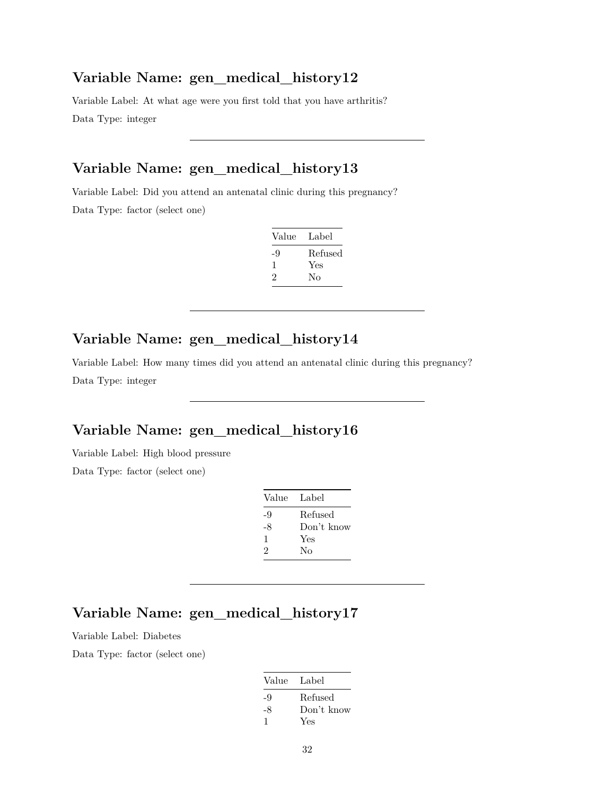#### **Variable Name: gen\_medical\_history12**

Variable Label: At what age were you first told that you have arthritis? Data Type: integer

# **Variable Name: gen\_medical\_history13**

Variable Label: Did you attend an antenatal clinic during this pregnancy? Data Type: factor (select one)

| Value | Label   |
|-------|---------|
| -9    | Refused |
| -1    | Yes     |
| 2     | Nο      |

# **Variable Name: gen\_medical\_history14**

Variable Label: How many times did you attend an antenatal clinic during this pregnancy? Data Type: integer

# **Variable Name: gen\_medical\_history16**

Variable Label: High blood pressure

Data Type: factor (select one)

| Refused    |
|------------|
| Don't know |
|            |
|            |
|            |

# **Variable Name: gen\_medical\_history17**

Variable Label: Diabetes

| Value Label |            |
|-------------|------------|
| -9          | Refused    |
| -8          | Don't know |
|             | Yes        |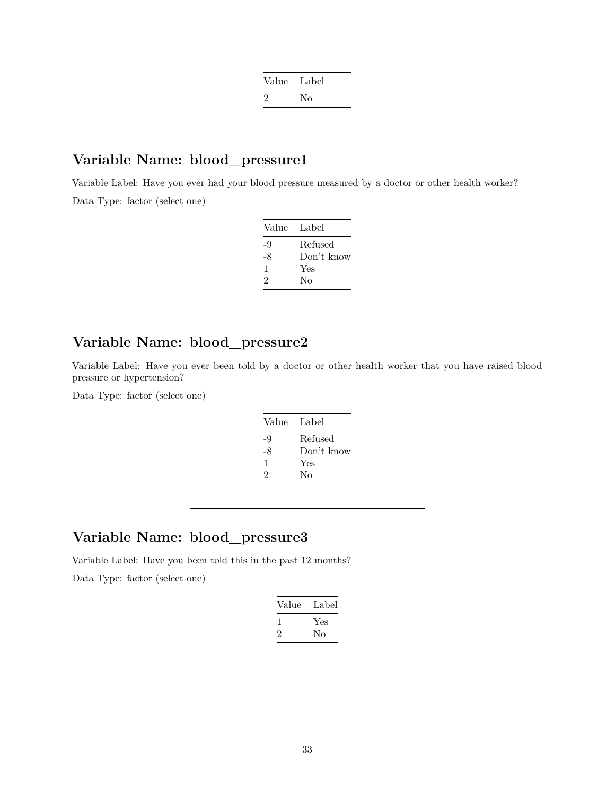| Nο |
|----|
|    |

#### **Variable Name: blood\_pressure1**

Variable Label: Have you ever had your blood pressure measured by a doctor or other health worker? Data Type: factor (select one)

| Value Label |            |
|-------------|------------|
| -9          | Refused    |
| -8          | Don't know |
| 1           | Yes        |
| 2           | Nο         |
|             |            |

#### **Variable Name: blood\_pressure2**

Variable Label: Have you ever been told by a doctor or other health worker that you have raised blood pressure or hypertension?

Data Type: factor (select one)

| Value | Label      |
|-------|------------|
| -9    | Refused    |
| -8    | Don't know |
| 1     | Yes        |
| 2     | No         |

# **Variable Name: blood\_pressure3**

Variable Label: Have you been told this in the past 12 months?

| Label |
|-------|
| Yes   |
| Nο    |
|       |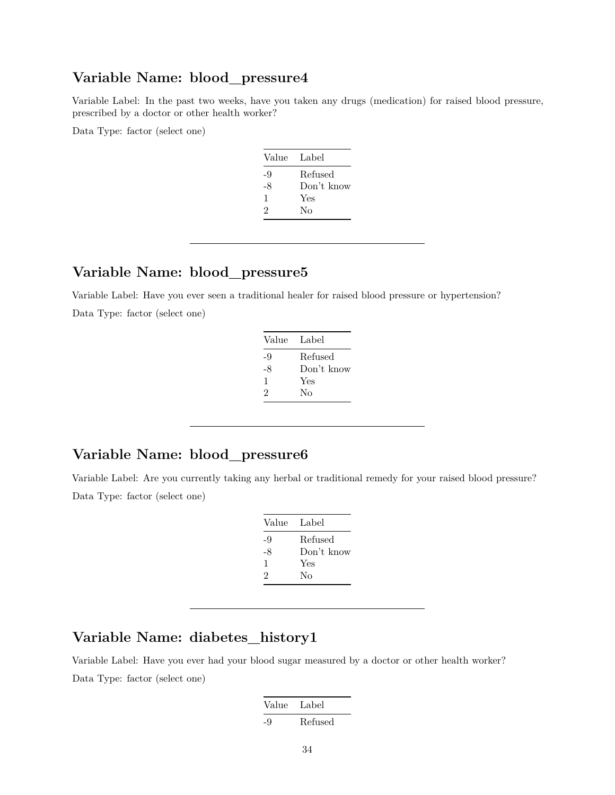#### **Variable Name: blood\_pressure4**

Variable Label: In the past two weeks, have you taken any drugs (medication) for raised blood pressure, prescribed by a doctor or other health worker?

Data Type: factor (select one)

| Value | Label      |
|-------|------------|
| -9    | Refused    |
| -8    | Don't know |
| 1     | Yes        |
| 2     | No         |
|       |            |

# **Variable Name: blood\_pressure5**

Variable Label: Have you ever seen a traditional healer for raised blood pressure or hypertension? Data Type: factor (select one)

| Value Label |            |
|-------------|------------|
| -9          | Refused    |
| -8          | Don't know |
| 1           | Yes        |
| 2           | Nο         |
|             |            |

# **Variable Name: blood\_pressure6**

Variable Label: Are you currently taking any herbal or traditional remedy for your raised blood pressure? Data Type: factor (select one)

| Value | - Label    |
|-------|------------|
| -9    | Refused    |
| -8    | Don't know |
| 1     | Yes        |
| 2     | Nο         |
|       |            |

# **Variable Name: diabetes\_history1**

Variable Label: Have you ever had your blood sugar measured by a doctor or other health worker? Data Type: factor (select one)

| Value | Label   |
|-------|---------|
| -9    | Refused |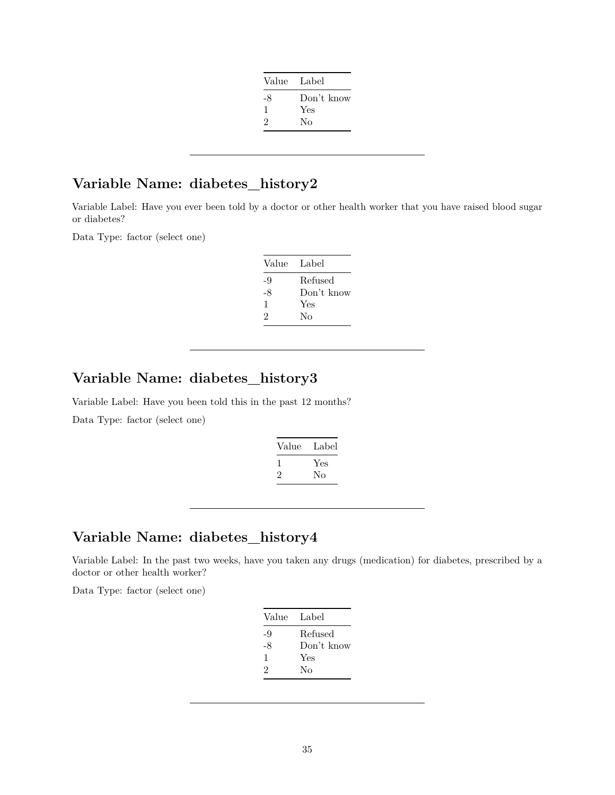| Value Label                 |            |
|-----------------------------|------------|
| -8                          | Don't know |
| ı                           | Yes        |
| $\mathcal{D}_{\mathcal{L}}$ | Nο         |
|                             |            |

# **Variable Name: diabetes\_history2**

Variable Label: Have you ever been told by a doctor or other health worker that you have raised blood sugar or diabetes?

Data Type: factor (select one)

| Value Label |            |
|-------------|------------|
| -9          | Refused    |
| -8          | Don't know |
| 1           | Yes        |
| 2           | Nο         |

# **Variable Name: diabetes\_history3**

Variable Label: Have you been told this in the past 12 months? Data Type: factor (select one)

| Value | Label |
|-------|-------|
|       | Yes   |
| ر.    | Nο    |

#### **Variable Name: diabetes\_history4**

Variable Label: In the past two weeks, have you taken any drugs (medication) for diabetes, prescribed by a doctor or other health worker?

| Value | Label      |
|-------|------------|
| -9    | Refused    |
| -8    | Don't know |
| 1     | Yes        |
| 2     | Nο         |
|       |            |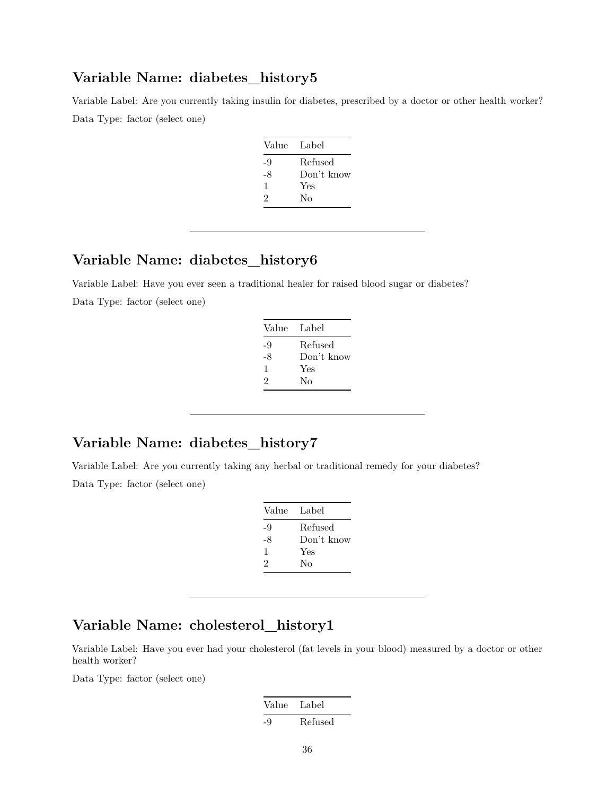#### **Variable Name: diabetes\_history5**

Variable Label: Are you currently taking insulin for diabetes, prescribed by a doctor or other health worker? Data Type: factor (select one)

| Value | Label      |
|-------|------------|
| -9    | Refused    |
| -8    | Don't know |
| 1     | Yes        |
| 2     | No         |
|       |            |

#### **Variable Name: diabetes\_history6**

Variable Label: Have you ever seen a traditional healer for raised blood sugar or diabetes? Data Type: factor (select one)

| Value Label |            |
|-------------|------------|
| -9          | Refused    |
| -8          | Don't know |
| 1           | Yes        |
| 2           | Nο         |
|             |            |

# **Variable Name: diabetes\_history7**

Variable Label: Are you currently taking any herbal or traditional remedy for your diabetes? Data Type: factor (select one)

| Value | Label      |
|-------|------------|
| -9    | Refused    |
| -8    | Don't know |
| 1     | Yes        |
| 2     | No         |
|       |            |

# **Variable Name: cholesterol\_history1**

Variable Label: Have you ever had your cholesterol (fat levels in your blood) measured by a doctor or other health worker?

| Value | Label   |
|-------|---------|
| -9    | Refused |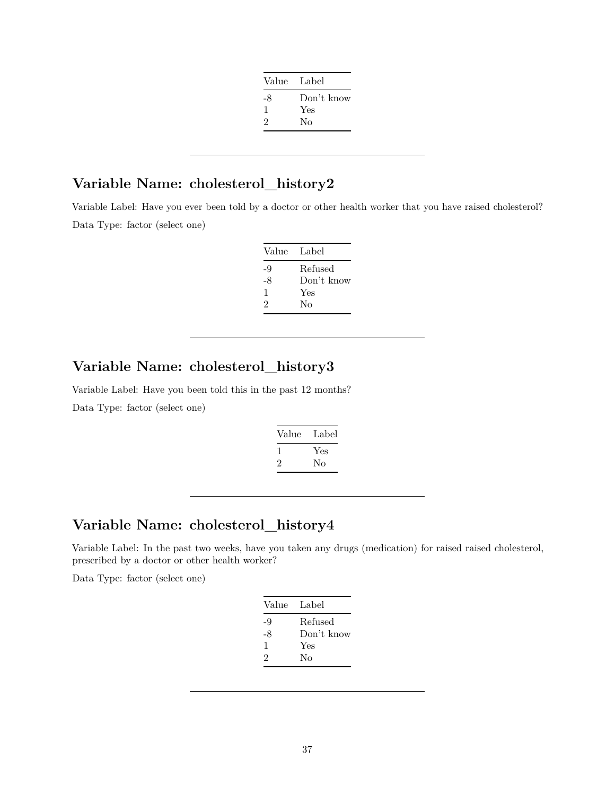| Value Label |            |
|-------------|------------|
| -8          | Don't know |
| I.          | Yes        |
| 2           | No         |
|             |            |

# **Variable Name: cholesterol\_history2**

Variable Label: Have you ever been told by a doctor or other health worker that you have raised cholesterol? Data Type: factor (select one)

| Value | - Label    |
|-------|------------|
| -9    | Refused    |
| -8    | Don't know |
| 1     | Yes        |
| 2     | No         |

# **Variable Name: cholesterol\_history3**

Variable Label: Have you been told this in the past 12 months? Data Type: factor (select one)

| Value | Label |
|-------|-------|
|       | Yes   |
| ۰,    | Nο    |
|       |       |

# **Variable Name: cholesterol\_history4**

Variable Label: In the past two weeks, have you taken any drugs (medication) for raised raised cholesterol, prescribed by a doctor or other health worker?

| Value | Label      |
|-------|------------|
| -9    | Refused    |
| -8    | Don't know |
| 1     | Yes        |
| 2     | No         |
|       |            |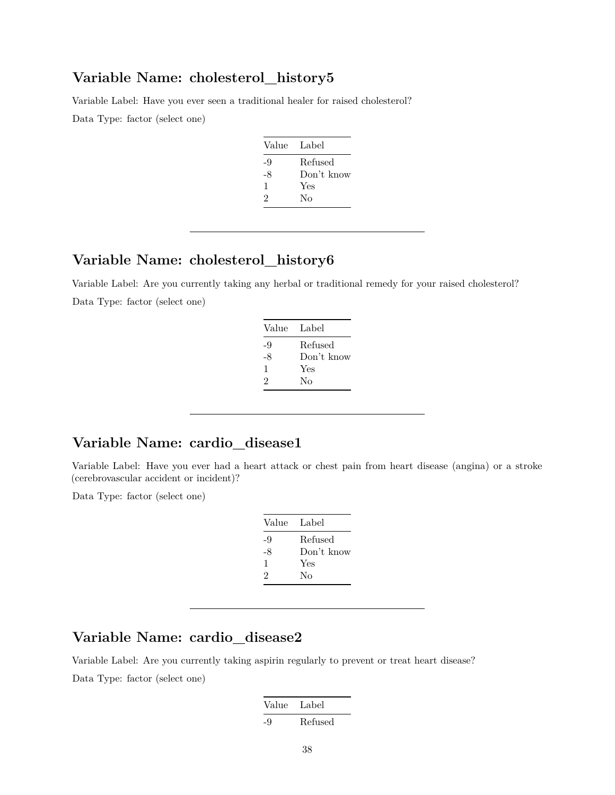#### **Variable Name: cholesterol\_history5**

Variable Label: Have you ever seen a traditional healer for raised cholesterol?

Data Type: factor (select one)

| Value | - Label    |
|-------|------------|
| -9    | Refused    |
| -8    | Don't know |
| 1     | Yes        |
| 2     | Nο         |

# **Variable Name: cholesterol\_history6**

Variable Label: Are you currently taking any herbal or traditional remedy for your raised cholesterol? Data Type: factor (select one)

| Value                       | Label      |
|-----------------------------|------------|
| -9                          | Refused    |
| -8                          | Don't know |
| 1                           | Yes        |
| $\mathcal{D}_{\mathcal{L}}$ | Nο         |
|                             |            |

# **Variable Name: cardio\_disease1**

Variable Label: Have you ever had a heart attack or chest pain from heart disease (angina) or a stroke (cerebrovascular accident or incident)?

Data Type: factor (select one)

| Value Label |            |
|-------------|------------|
| -9          | Refused    |
| -8          | Don't know |
| 1           | Yes        |
| 2           | Nο         |
|             |            |

#### **Variable Name: cardio\_disease2**

Variable Label: Are you currently taking aspirin regularly to prevent or treat heart disease? Data Type: factor (select one)

| Value | Label   |
|-------|---------|
| -9    | Refused |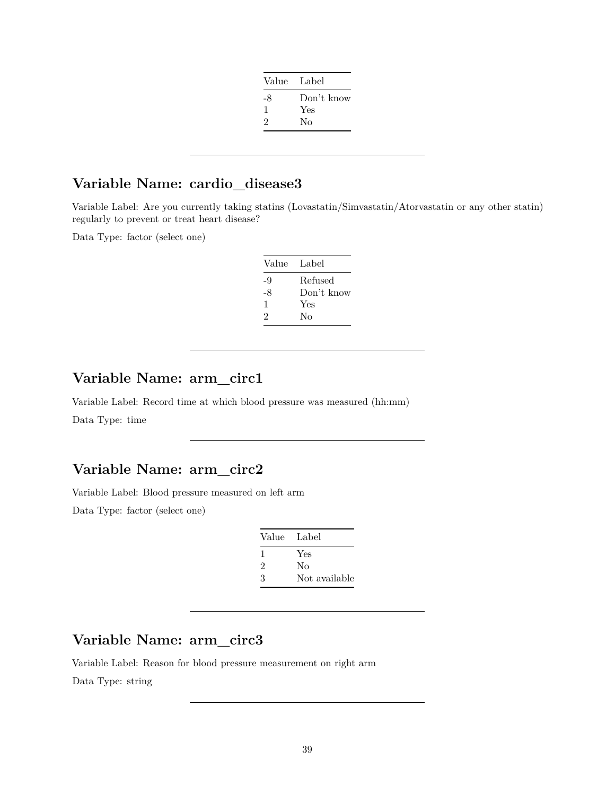| Value Label |            |
|-------------|------------|
| -8          | Don't know |
| 1           | Yes        |
| 2           | Nο         |
|             |            |

# **Variable Name: cardio\_disease3**

Variable Label: Are you currently taking statins (Lovastatin/Simvastatin/Atorvastatin or any other statin) regularly to prevent or treat heart disease?

Data Type: factor (select one)

| Value Label |            |
|-------------|------------|
| -9          | Refused    |
| -8          | Don't know |
| 1           | Yes        |
| 2           | No         |
|             |            |

# **Variable Name: arm\_circ1**

Variable Label: Record time at which blood pressure was measured (hh:mm) Data Type: time

#### **Variable Name: arm\_circ2**

Variable Label: Blood pressure measured on left arm

Data Type: factor (select one)

| Value Label                 |               |
|-----------------------------|---------------|
| $\mathbf{I}$                | Yes           |
| $\mathcal{D}_{\mathcal{L}}$ | No            |
| 3                           | Not available |
|                             |               |

# **Variable Name: arm\_circ3**

Variable Label: Reason for blood pressure measurement on right arm Data Type: string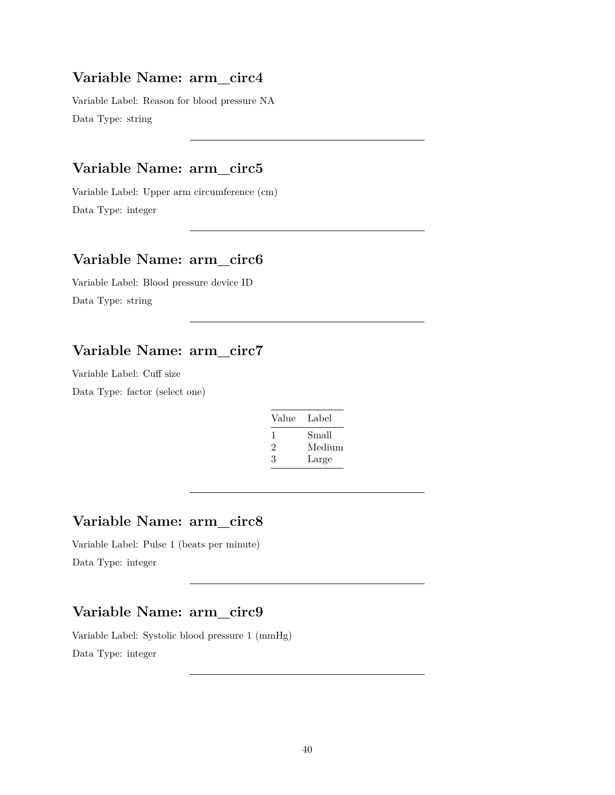Variable Label: Reason for blood pressure NA Data Type: string

# **Variable Name: arm\_circ5**

Variable Label: Upper arm circumference (cm) Data Type: integer

#### **Variable Name: arm\_circ6**

Variable Label: Blood pressure device ID Data Type: string

#### **Variable Name: arm\_circ7**

Variable Label: Cuff size

Data Type: factor (select one)

| Value | Label  |
|-------|--------|
| 1     | Small  |
| 2     | Medium |
| 3     | Large  |

# **Variable Name: arm\_circ8**

Variable Label: Pulse 1 (beats per minute) Data Type: integer

# **Variable Name: arm\_circ9**

Variable Label: Systolic blood pressure 1 (mmHg) Data Type: integer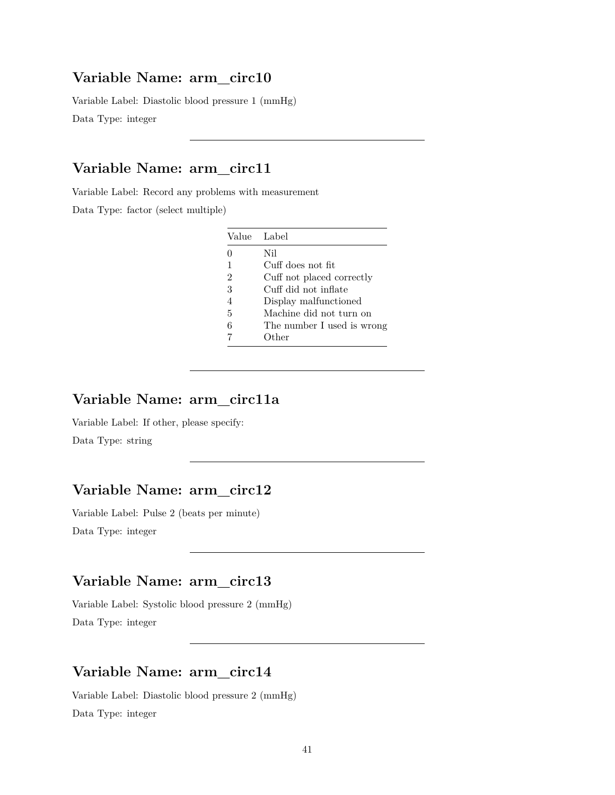Variable Label: Diastolic blood pressure 1 (mmHg) Data Type: integer

# **Variable Name: arm\_circ11**

Variable Label: Record any problems with measurement

Data Type: factor (select multiple)

|   | Value Label                |
|---|----------------------------|
| O | Nil                        |
| 1 | Cuff does not fit          |
| 2 | Cuff not placed correctly  |
| 3 | Cuff did not inflate       |
| 4 | Display malfunctioned      |
| 5 | Machine did not turn on    |
| 6 | The number I used is wrong |
|   | )ther                      |

# **Variable Name: arm\_circ11a**

Variable Label: If other, please specify: Data Type: string

# **Variable Name: arm\_circ12**

Variable Label: Pulse 2 (beats per minute) Data Type: integer

# **Variable Name: arm\_circ13**

Variable Label: Systolic blood pressure 2 (mmHg) Data Type: integer

## **Variable Name: arm\_circ14**

Variable Label: Diastolic blood pressure 2 (mmHg) Data Type: integer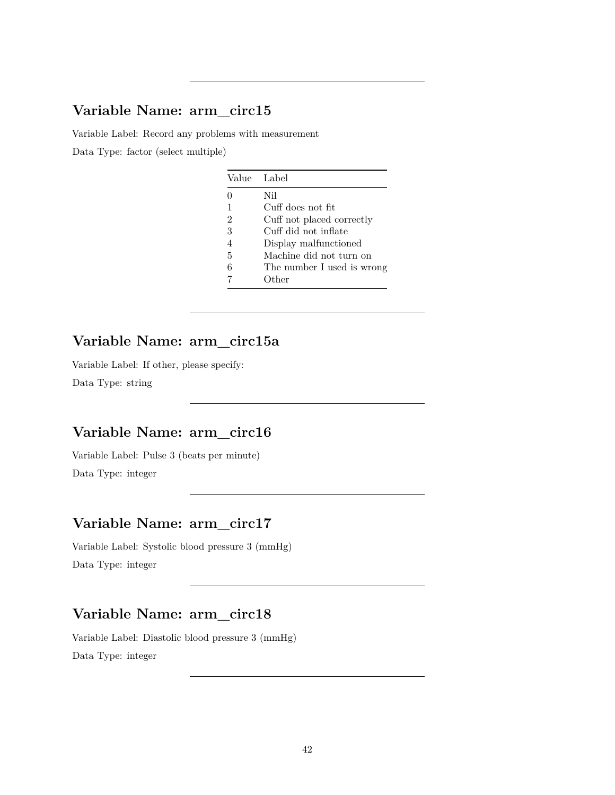Variable Label: Record any problems with measurement

Data Type: factor (select multiple)

|                | Value Label                |
|----------------|----------------------------|
|                | Nil                        |
| 1              | Cuff does not fit          |
| $\overline{2}$ | Cuff not placed correctly  |
| 3              | Cuff did not inflate       |
| $\overline{4}$ | Display malfunctioned      |
| 5              | Machine did not turn on    |
| 6              | The number I used is wrong |
|                | Other                      |

# **Variable Name: arm\_circ15a**

Variable Label: If other, please specify: Data Type: string

# **Variable Name: arm\_circ16**

Variable Label: Pulse 3 (beats per minute) Data Type: integer

# **Variable Name: arm\_circ17**

Variable Label: Systolic blood pressure 3 (mmHg) Data Type: integer

# **Variable Name: arm\_circ18**

Variable Label: Diastolic blood pressure 3 (mmHg) Data Type: integer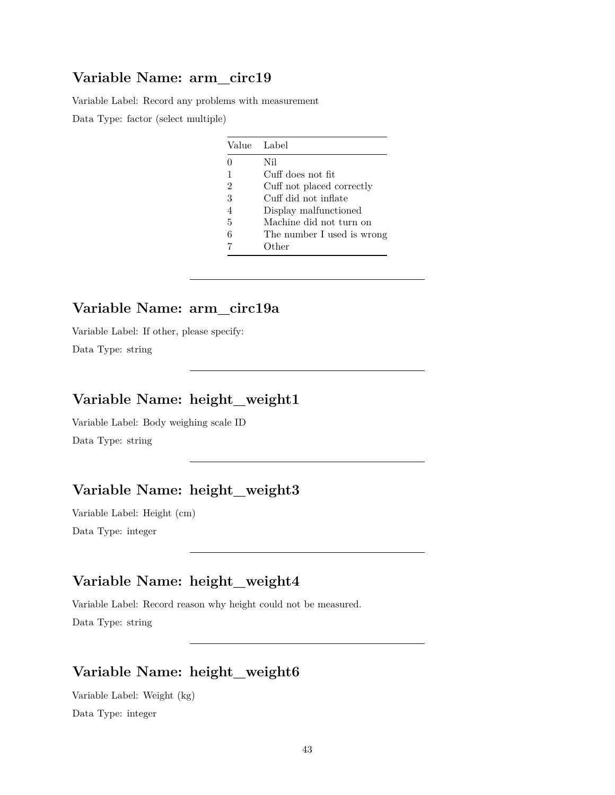Variable Label: Record any problems with measurement

Data Type: factor (select multiple)

|                | Value Label                |
|----------------|----------------------------|
| O              | Nil                        |
| 1              | Cuff does not fit          |
| $\overline{2}$ | Cuff not placed correctly  |
| 3              | Cuff did not inflate       |
| 4              | Display malfunctioned      |
| 5              | Machine did not turn on    |
| 6              | The number I used is wrong |
|                | Other                      |

# **Variable Name: arm\_circ19a**

Variable Label: If other, please specify: Data Type: string

# **Variable Name: height\_weight1**

Variable Label: Body weighing scale ID Data Type: string

# **Variable Name: height\_weight3**

Variable Label: Height (cm) Data Type: integer

# **Variable Name: height\_weight4**

Variable Label: Record reason why height could not be measured. Data Type: string

# **Variable Name: height\_weight6**

Variable Label: Weight (kg) Data Type: integer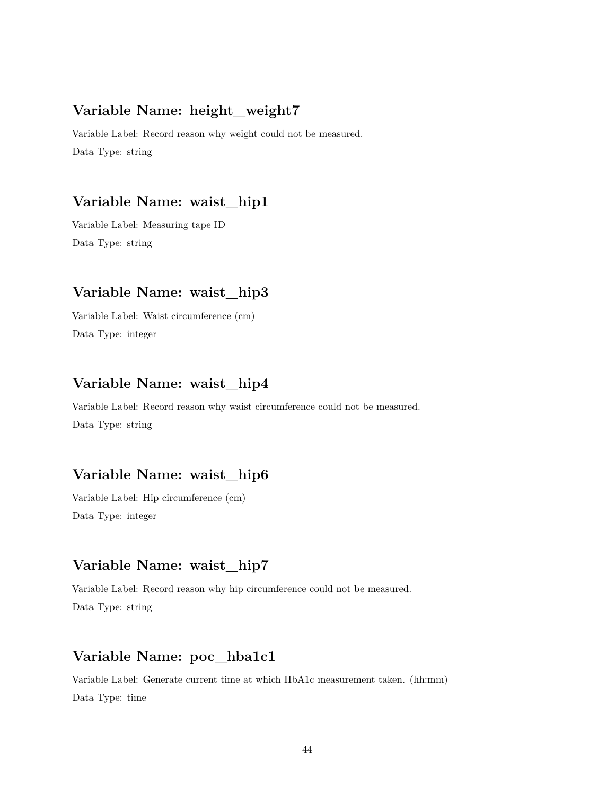#### **Variable Name: height\_weight7**

Variable Label: Record reason why weight could not be measured. Data Type: string

#### **Variable Name: waist\_hip1**

Variable Label: Measuring tape ID Data Type: string

# **Variable Name: waist\_hip3**

Variable Label: Waist circumference (cm) Data Type: integer

# **Variable Name: waist\_hip4**

Variable Label: Record reason why waist circumference could not be measured. Data Type: string

# **Variable Name: waist\_hip6**

Variable Label: Hip circumference (cm) Data Type: integer

# **Variable Name: waist\_hip7**

Variable Label: Record reason why hip circumference could not be measured. Data Type: string

# **Variable Name: poc\_hba1c1**

Variable Label: Generate current time at which HbA1c measurement taken. (hh:mm) Data Type: time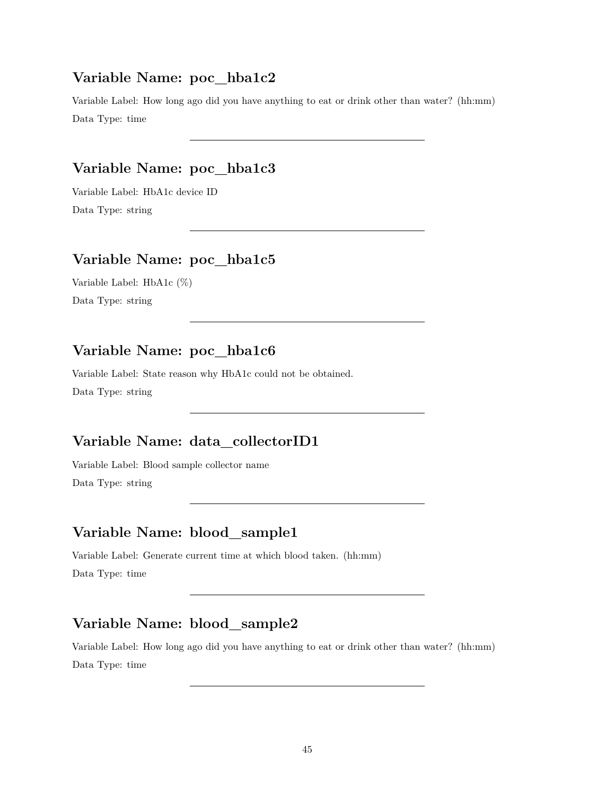#### **Variable Name: poc\_hba1c2**

Variable Label: How long ago did you have anything to eat or drink other than water? (hh:mm) Data Type: time

# **Variable Name: poc\_hba1c3**

Variable Label: HbA1c device ID Data Type: string

# **Variable Name: poc\_hba1c5**

Variable Label: HbA1c (%) Data Type: string

# **Variable Name: poc\_hba1c6**

Variable Label: State reason why HbA1c could not be obtained. Data Type: string

# **Variable Name: data\_collectorID1**

Variable Label: Blood sample collector name Data Type: string

# **Variable Name: blood\_sample1**

Variable Label: Generate current time at which blood taken. (hh:mm) Data Type: time

# **Variable Name: blood\_sample2**

Variable Label: How long ago did you have anything to eat or drink other than water? (hh:mm) Data Type: time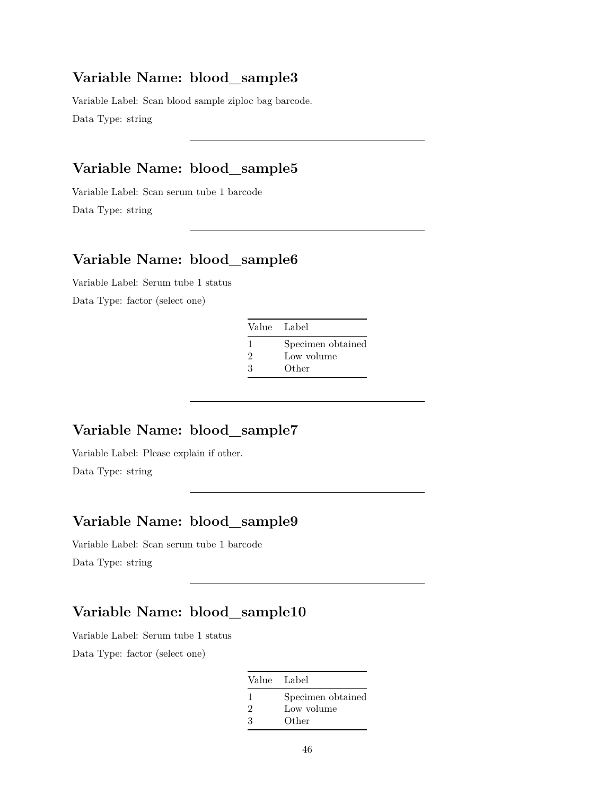Variable Label: Scan blood sample ziploc bag barcode. Data Type: string

# **Variable Name: blood\_sample5**

Variable Label: Scan serum tube 1 barcode Data Type: string

# **Variable Name: blood\_sample6**

Variable Label: Serum tube 1 status Data Type: factor (select one)

| Value Label                      |                                          |
|----------------------------------|------------------------------------------|
| $\mathcal{D}_{\mathcal{L}}$<br>3 | Specimen obtained<br>Low volume<br>Other |

#### **Variable Name: blood\_sample7**

Variable Label: Please explain if other.

Data Type: string

# **Variable Name: blood\_sample9**

Variable Label: Scan serum tube 1 barcode Data Type: string

# **Variable Name: blood\_sample10**

Variable Label: Serum tube 1 status

| Value Label    |                   |
|----------------|-------------------|
|                | Specimen obtained |
| $\mathfrak{D}$ | Low volume        |
| 3              | Other             |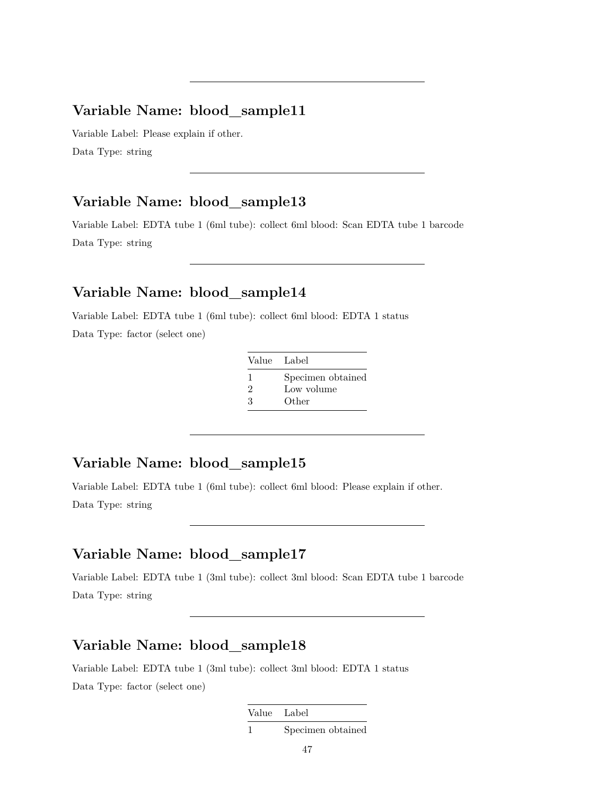Variable Label: Please explain if other. Data Type: string

#### **Variable Name: blood\_sample13**

Variable Label: EDTA tube 1 (6ml tube): collect 6ml blood: Scan EDTA tube 1 barcode Data Type: string

#### **Variable Name: blood\_sample14**

Variable Label: EDTA tube 1 (6ml tube): collect 6ml blood: EDTA 1 status Data Type: factor (select one)

| Value Label |                   |
|-------------|-------------------|
| L.          | Specimen obtained |
| 2           | Low volume        |
| З           | Other             |

#### **Variable Name: blood\_sample15**

Variable Label: EDTA tube 1 (6ml tube): collect 6ml blood: Please explain if other. Data Type: string

#### **Variable Name: blood\_sample17**

Variable Label: EDTA tube 1 (3ml tube): collect 3ml blood: Scan EDTA tube 1 barcode Data Type: string

# **Variable Name: blood\_sample18**

Variable Label: EDTA tube 1 (3ml tube): collect 3ml blood: EDTA 1 status Data Type: factor (select one)

Value Label

1 Specimen obtained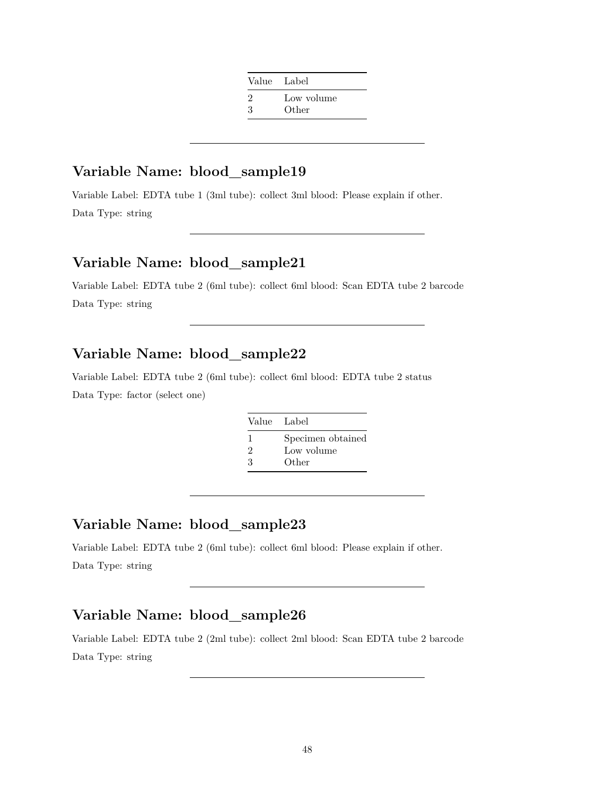| Value Label                      |                     |
|----------------------------------|---------------------|
| $\mathcal{D}_{\mathcal{L}}$<br>3 | Low volume<br>Other |
|                                  |                     |

Variable Label: EDTA tube 1 (3ml tube): collect 3ml blood: Please explain if other. Data Type: string

#### **Variable Name: blood\_sample21**

Variable Label: EDTA tube 2 (6ml tube): collect 6ml blood: Scan EDTA tube 2 barcode Data Type: string

#### **Variable Name: blood\_sample22**

Variable Label: EDTA tube 2 (6ml tube): collect 6ml blood: EDTA tube 2 status Data Type: factor (select one)

| Value Label                 |                   |
|-----------------------------|-------------------|
|                             | Specimen obtained |
| $\mathcal{D}_{\mathcal{L}}$ | Low volume        |
| З                           | Other             |

#### **Variable Name: blood\_sample23**

Variable Label: EDTA tube 2 (6ml tube): collect 6ml blood: Please explain if other. Data Type: string

# **Variable Name: blood\_sample26**

Variable Label: EDTA tube 2 (2ml tube): collect 2ml blood: Scan EDTA tube 2 barcode Data Type: string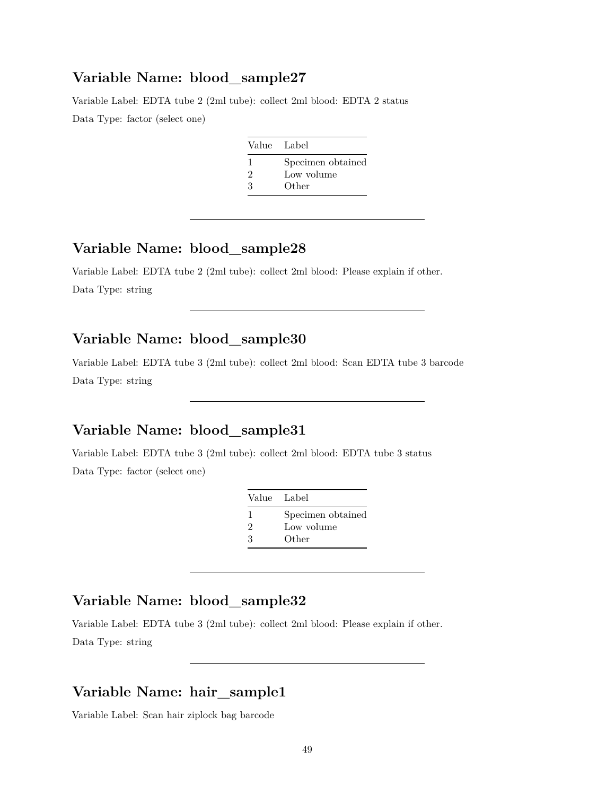Variable Label: EDTA tube 2 (2ml tube): collect 2ml blood: EDTA 2 status Data Type: factor (select one)

| Specimen obtained<br>Low volume<br>2 |  | Value Label |
|--------------------------------------|--|-------------|
|                                      |  |             |
|                                      |  |             |
| Other                                |  | ર           |

#### **Variable Name: blood\_sample28**

Variable Label: EDTA tube 2 (2ml tube): collect 2ml blood: Please explain if other. Data Type: string

#### **Variable Name: blood\_sample30**

Variable Label: EDTA tube 3 (2ml tube): collect 2ml blood: Scan EDTA tube 3 barcode Data Type: string

#### **Variable Name: blood\_sample31**

Variable Label: EDTA tube 3 (2ml tube): collect 2ml blood: EDTA tube 3 status Data Type: factor (select one)

| Value Label |                   |
|-------------|-------------------|
| ı           | Specimen obtained |
| 2           | Low volume        |
| 3           | Other             |

# **Variable Name: blood\_sample32**

Variable Label: EDTA tube 3 (2ml tube): collect 2ml blood: Please explain if other. Data Type: string

#### **Variable Name: hair\_sample1**

Variable Label: Scan hair ziplock bag barcode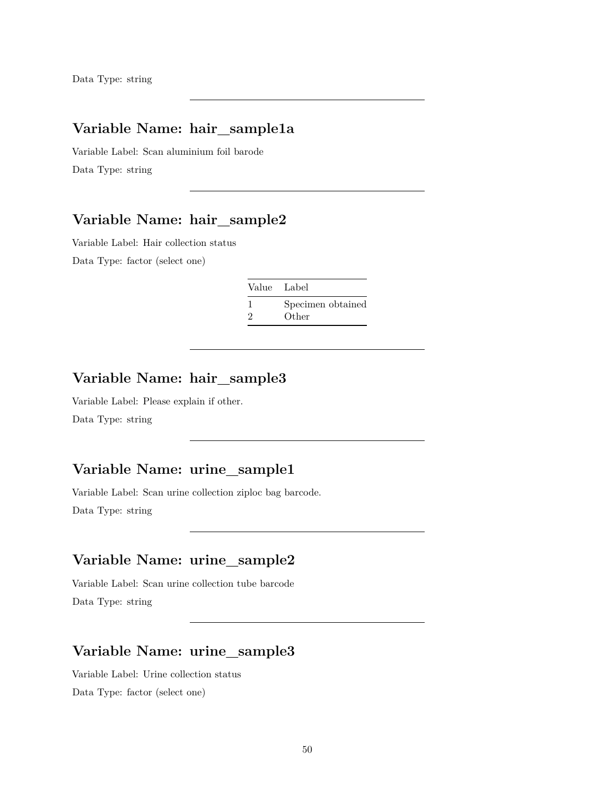# **Variable Name: hair\_sample1a**

Variable Label: Scan aluminium foil barode Data Type: string

#### **Variable Name: hair\_sample2**

Variable Label: Hair collection status Data Type: factor (select one)

| Value Label                 |                            |
|-----------------------------|----------------------------|
| $\mathcal{D}_{\mathcal{L}}$ | Specimen obtained<br>Other |

# **Variable Name: hair\_sample3**

Variable Label: Please explain if other. Data Type: string

#### **Variable Name: urine\_sample1**

Variable Label: Scan urine collection ziploc bag barcode. Data Type: string

# **Variable Name: urine\_sample2**

Variable Label: Scan urine collection tube barcode Data Type: string

# **Variable Name: urine\_sample3**

Variable Label: Urine collection status Data Type: factor (select one)